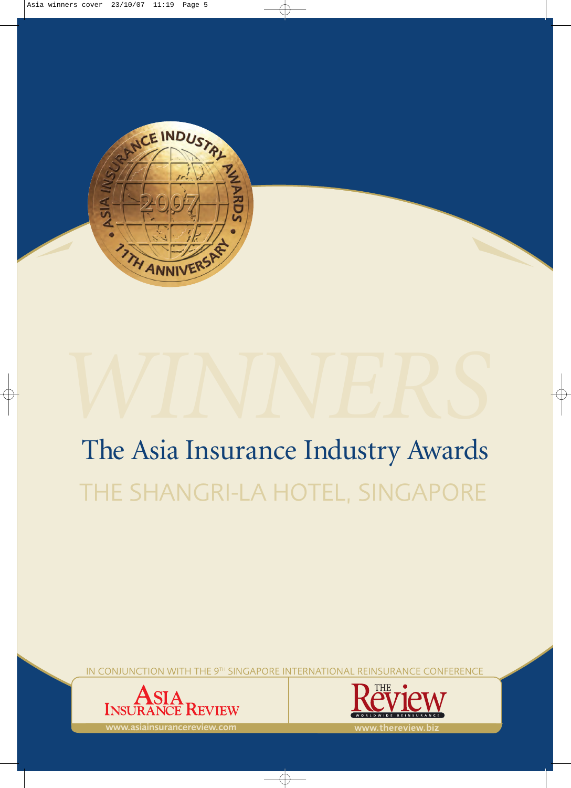

# The Asia Insurance Industry Awards THE SHANGRI-LA HOTEL, SINGAPORE *WINNERS*

IN CONJUNCTION WITH THE 9TH SINGAPORE INTERNATIONAL REINSURANCE CONFERENCE





www.asiainsurancereview.com www.thereview.biz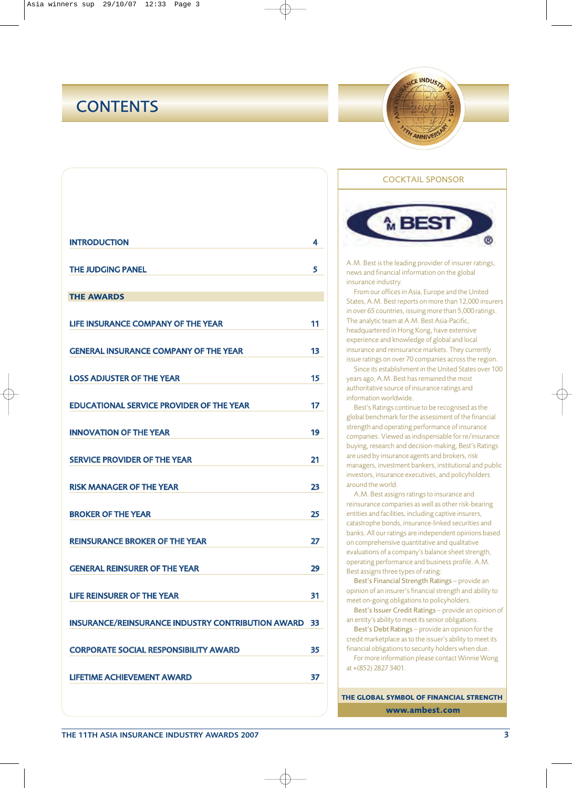## **CONTENTS**



| <b>INTRODUCTION</b>                                      | 4  |
|----------------------------------------------------------|----|
| <b>THE JUDGING PANEL</b>                                 | 5  |
| <b>THE AWARDS</b>                                        |    |
| LIFE INSURANCE COMPANY OF THE YEAR                       | 11 |
| <b>GENERAL INSURANCE COMPANY OF THE YEAR</b>             | 13 |
| <b>LOSS ADJUSTER OF THE YEAR</b>                         | 15 |
| <b>EDUCATIONAL SERVICE PROVIDER OF THE YEAR</b>          | 17 |
| <b>INNOVATION OF THE YEAR</b>                            | 19 |
| <b>SERVICE PROVIDER OF THE YEAR</b>                      | 21 |
| <b>RISK MANAGER OF THE YEAR</b>                          | 23 |
| <b>BROKER OF THE YEAR</b>                                | 25 |
| <b>REINSURANCE BROKER OF THE YEAR</b>                    | 27 |
| <b>GENERAL REINSURER OF THE YEAR</b>                     | 29 |
| LIFE REINSURER OF THE YEAR                               | 31 |
| <b>INSURANCE/REINSURANCE INDUSTRY CONTRIBUTION AWARD</b> | 33 |
| <b>CORPORATE SOCIAL RESPONSIBILITY AWARD</b>             | 35 |
| <b>LIFETIME ACHIEVEMENT AWARD</b>                        | 37 |
|                                                          |    |

# **MBEST**

COCKTAIL SPONSOR

A.M. Best is the leading provider of insurer ratings, news and financial information on the global insurance industry.

From our offices in Asia, Europe and the United States, A.M. Best reports on more than 12,000 insurers in over 65 countries, issuing more than 5,000 ratings. The analytic team at A.M. Best Asia-Pacific, headquartered in Hong Kong, have extensive experience and knowledge of global and local insurance and reinsurance markets. They currently issue ratings on over 70 companies across the region.

Since its establishment in the United States over 100 years ago, A.M. Best has remained the most authoritative source of insurance ratings and information worldwide.

Best's Ratings continue to be recognised as the global benchmark for the assessment of the financial strength and operating performance of insurance companies. Viewed as indispensable for re/insurance buying, research and decision-making, Best's Ratings are used by insurance agents and brokers, risk managers, investment bankers, institutional and public investors, insurance executives, and policyholders around the world.

A.M. Best assigns ratings to insurance and reinsurance companies as well as other risk-bearing entities and facilities, including captive insurers, catastrophe bonds, insurance-linked securities and banks. All our ratings are independent opinions based on comprehensive quantitative and qualitative evaluations of a company's balance sheet strength, operating performance and business profile. A.M. Best assigns three types of rating:

Best's Financial Strength Ratings – provide an opinion of an insurer's financial strength and ability to meet on-going obligations to policyholders.

Best's Issuer Credit Ratings – provide an opinion of an entity's ability to meet its senior obligations.

Best's Debt Ratings – provide an opinion for the credit marketplace as to the issuer's ability to meet its financial obligations to security holders when due. For more information please contact Winnie Wong at +(852) 2827 3401.

**THE GLOBAL SYMBOL OF FINANCIAL STRENGTH www.ambest.com**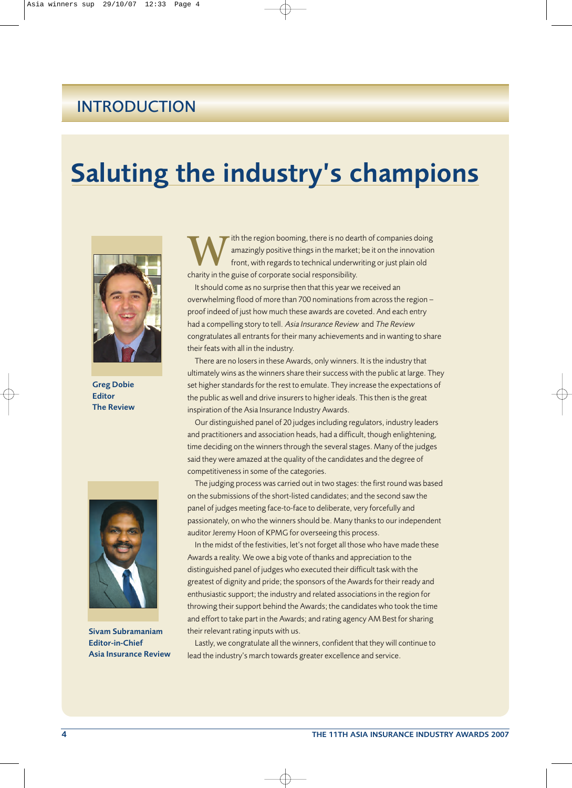## INTRODUCTION

## Saluting the industry's champions



Greg Dobie Editor The Review



Sivam Subramaniam Editor-in-Chief Asia Insurance Review

**W**ith the region booming, there is no dearth of companies doing<br>amazingly positive things in the market; be it on the innovation<br>front, with regards to technical underwriting or just plain old<br>charity in the guise of corp amazingly positive things in the market; be it on the innovation front, with regards to technical underwriting or just plain old charity in the guise of corporate social responsibility.

It should come as no surprise then that this year we received an overwhelming flood of more than 700 nominations from across the region – proof indeed of just how much these awards are coveted. And each entry had a compelling story to tell. Asia Insurance Review and The Review congratulates all entrants for their many achievements and in wanting to share their feats with all in the industry.

There are no losers in these Awards, only winners. It is the industry that ultimately wins as the winners share their success with the public at large. They set higher standards for the rest to emulate. They increase the expectations of the public as well and drive insurers to higher ideals. This then is the great inspiration of the Asia Insurance Industry Awards.

Our distinguished panel of 20 judges including regulators, industry leaders and practitioners and association heads, had a difficult, though enlightening, time deciding on the winners through the several stages. Many of the judges said they were amazed at the quality of the candidates and the degree of competitiveness in some of the categories.

The judging process was carried out in two stages: the first round was based on the submissions of the short-listed candidates; and the second saw the panel of judges meeting face-to-face to deliberate, very forcefully and passionately, on who the winners should be. Many thanks to our independent auditor Jeremy Hoon of KPMG for overseeing this process.

In the midst of the festivities, let's not forget all those who have made these Awards a reality. We owe a big vote of thanks and appreciation to the distinguished panel of judges who executed their difficult task with the greatest of dignity and pride; the sponsors of the Awards for their ready and enthusiastic support; the industry and related associations in the region for throwing their support behind the Awards; the candidates who took the time and effort to take part in the Awards; and rating agency AM Best for sharing their relevant rating inputs with us.

Lastly, we congratulate all the winners, confident that they will continue to lead the industry's march towards greater excellence and service.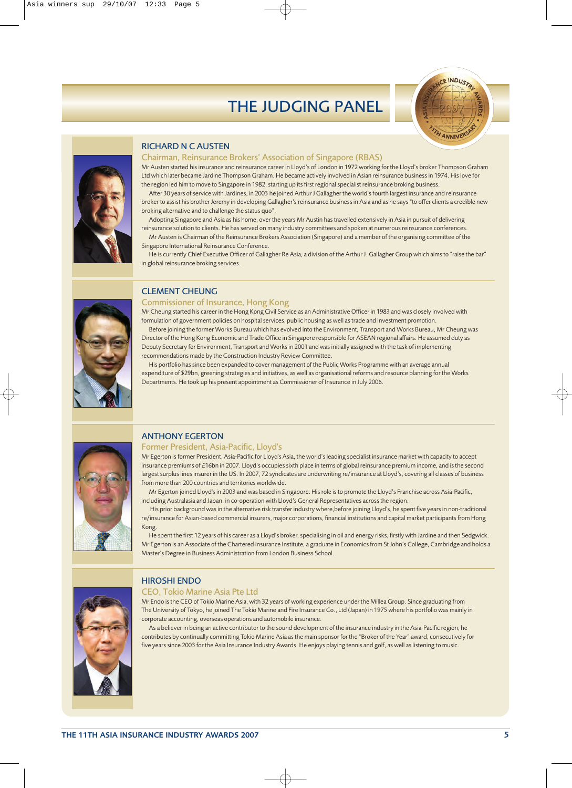



### RICHARD N C AUSTEN

#### Chairman, Reinsurance Brokers' Association of Singapore (RBAS)

Mr Austen started his insurance and reinsurance career in Lloyd's of London in 1972 working for the Lloyd's broker Thompson Graham Ltd which later became Jardine Thompson Graham. He became actively involved in Asian reinsurance business in 1974. His love for the region led him to move to Singapore in 1982, starting up its first regional specialist reinsurance broking business.

After 30 years of service with Jardines, in 2003 he joined Arthur J Gallagher the world's fourth largest insurance and reinsurance broker to assist his brother Jeremy in developing Gallagher's reinsurance business in Asia and as he says "to offer clients a credible new broking alternative and to challenge the status quo".

- Adopting Singapore and Asia as his home, over the years Mr Austin has travelled extensively in Asia in pursuit of delivering reinsurance solution to clients. He has served on many industry committees and spoken at numerous reinsurance conferences.
- Mr Austen is Chairman of the Reinsurance Brokers Association (Singapore) and a member of the organising committee of the Singapore International Reinsurance Conference.

He is currently Chief Executive Officer of Gallagher Re Asia, a division of the Arthur J. Gallagher Group which aims to "raise the bar" in global reinsurance broking services.



### CLEMENT CHEUNG

#### Commissioner of Insurance, Hong Kong

Mr Cheung started his career in the Hong Kong Civil Service as an Administrative Officer in 1983 and was closely involved with formulation of government policies on hospital services, public housing as well as trade and investment promotion.

Before joining the former Works Bureau which has evolved into the Environment, Transport and Works Bureau, Mr Cheung was Director of the Hong Kong Economic and Trade Office in Singapore responsible for ASEAN regional affairs. He assumed duty as Deputy Secretary for Environment, Transport and Works in 2001 and was initially assigned with the task of implementing recommendations made by the Construction Industry Review Committee.

His portfolio has since been expanded to cover management of the Public Works Programme with an average annual expenditure of \$29bn, greening strategies and initiatives, as well as organisational reforms and resource planning for the Works Departments. He took up his present appointment as Commissioner of Insurance in July 2006.



### ANTHONY EGERTON

#### Former President, Asia-Pacific, Lloyd's

Mr Egerton is former President, Asia-Pacific for Lloyd's Asia, the world's leading specialist insurance market with capacity to accept insurance premiums of £16bn in 2007. Lloyd's occupies sixth place in terms of global reinsurance premium income, and is the second largest surplus lines insurer in the US. In 2007, 72 syndicates are underwriting re/insurance at Lloyd's, covering all classes of business from more than 200 countries and territories worldwide.

Mr Egerton joined Lloyd's in 2003 and was based in Singapore. His role is to promote the Lloyd's Franchise across Asia-Pacific, including Australasia and Japan, in co-operation with Lloyd's General Representatives across the region.

His prior background was in the alternative risk transfer industry where,before joining Lloyd's, he spent five years in non-traditional re/insurance for Asian-based commercial insurers, major corporations, financial institutions and capital market participants from Hong Kong.

He spent the first 12 years of his career as a Lloyd's broker, specialising in oil and energy risks, firstly with Jardine and then Sedgwick. Mr Egerton is an Associate of the Chartered Insurance Institute, a graduate in Economics from St John's College, Cambridge and holds a Master's Degree in Business Administration from London Business School.



#### HIROSHI ENDO

#### CEO, Tokio Marine Asia Pte Ltd

Mr Endo is the CEO of Tokio Marine Asia, with 32 years of working experience under the Millea Group. Since graduating from The University of Tokyo, he joined The Tokio Marine and Fire Insurance Co., Ltd (Japan) in 1975 where his portfolio was mainly in corporate accounting, overseas operations and automobile insurance.

As a believer in being an active contributor to the sound development of the insurance industry in the Asia-Pacific region, he contributes by continually committing Tokio Marine Asia as the main sponsor for the "Broker of the Year" award, consecutively for five years since 2003 for the Asia Insurance Industry Awards. He enjoys playing tennis and golf, as well as listening to music.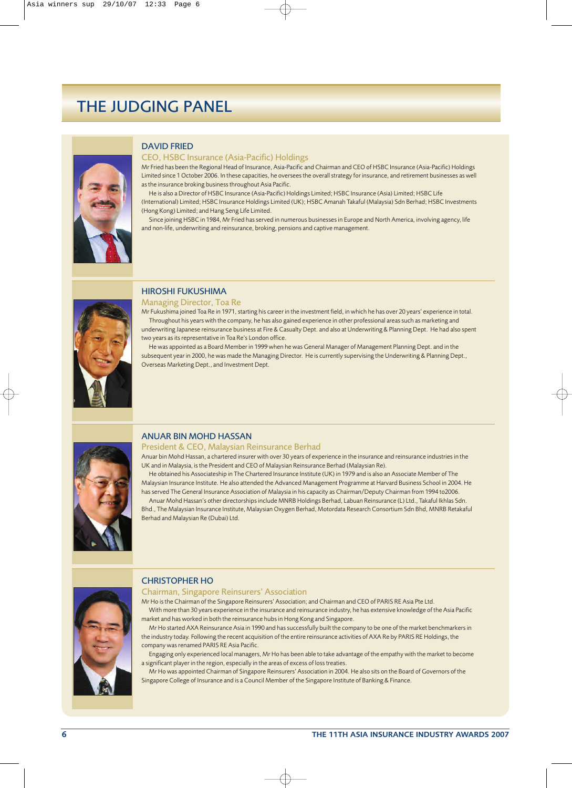

#### DAVID FRIED

#### CEO, HSBC Insurance (Asia-Pacific) Holdings

Mr Fried has been the Regional Head of Insurance, Asia-Pacific and Chairman and CEO of HSBC Insurance (Asia-Pacific) Holdings Limited since 1 October 2006. In these capacities, he oversees the overall strategy for insurance, and retirement businesses as well as the insurance broking business throughout Asia Pacific.

He is also a Director of HSBC Insurance (Asia-Pacific) Holdings Limited; HSBC Insurance (Asia) Limited; HSBC Life (International) Limited; HSBC Insurance Holdings Limited (UK); HSBC Amanah Takaful (Malaysia) Sdn Berhad; HSBC Investments (Hong Kong) Limited; and Hang Seng Life Limited.

Since joining HSBC in 1984, Mr Fried has served in numerous businesses in Europe and North America, involving agency, life and non-life, underwriting and reinsurance, broking, pensions and captive management.



### HIROSHI FUKUSHIMA

Managing Director, Toa Re

Mr Fukushima joined Toa Re in 1971, starting his career in the investment field, in which he has over 20 years' experience in total. Throughout his years with the company, he has also gained experience in other professional areas such as marketing and underwriting Japanese reinsurance business at Fire & Casualty Dept. and also at Underwriting & Planning Dept. He had also spent two years as its representative in Toa Re's London office.

He was appointed as a Board Member in 1999 when he was General Manager of Management Planning Dept. and in the subsequent year in 2000, he was made the Managing Director. He is currently supervising the Underwriting & Planning Dept., Overseas Marketing Dept., and Investment Dept.



### ANUAR BIN MOHD HASSAN

#### President & CEO, Malaysian Reinsurance Berhad

Anuar bin Mohd Hassan, a chartered insurer with over 30 years of experience in the insurance and reinsurance industries in the UK and in Malaysia, is the President and CEO of Malaysian Reinsurance Berhad (Malaysian Re).

He obtained his Associateship in The Chartered Insurance Institute (UK) in 1979 and is also an Associate Member of The Malaysian Insurance Institute. He also attended the Advanced Management Programme at Harvard Business School in 2004. He has served The General Insurance Association of Malaysia in his capacity as Chairman/Deputy Chairman from 1994 to2006.

Anuar Mohd Hassan's other directorships include MNRB Holdings Berhad, Labuan Reinsurance (L) Ltd., Takaful Ikhlas Sdn. Bhd., The Malaysian Insurance Institute, Malaysian Oxygen Berhad, Motordata Research Consortium Sdn Bhd, MNRB Retakaful Berhad and Malaysian Re (Dubai) Ltd.



#### CHRISTOPHER HO

Chairman, Singapore Reinsurers' Association

Mr Ho is the Chairman of the Singapore Reinsurers' Association; and Chairman and CEO of PARIS RE Asia Pte Ltd. With more than 30 years experience in the insurance and reinsurance industry, he has extensive knowledge of the Asia Pacific market and has worked in both the reinsurance hubs in Hong Kong and Singapore.

Mr Ho started AXA Reinsurance Asia in 1990 and has successfully built the company to be one of the market benchmarkers in the industry today. Following the recent acquisition of the entire reinsurance activities of AXA Re by PARIS RE Holdings, the company was renamed PARIS RE Asia Pacific.

Engaging only experienced local managers, Mr Ho has been able to take advantage of the empathy with the market to become a significant player in the region, especially in the areas of excess of loss treaties.

Mr Ho was appointed Chairman of Singapore Reinsurers' Association in 2004. He also sits on the Board of Governors of the Singapore College of Insurance and is a Council Member of the Singapore Institute of Banking & Finance.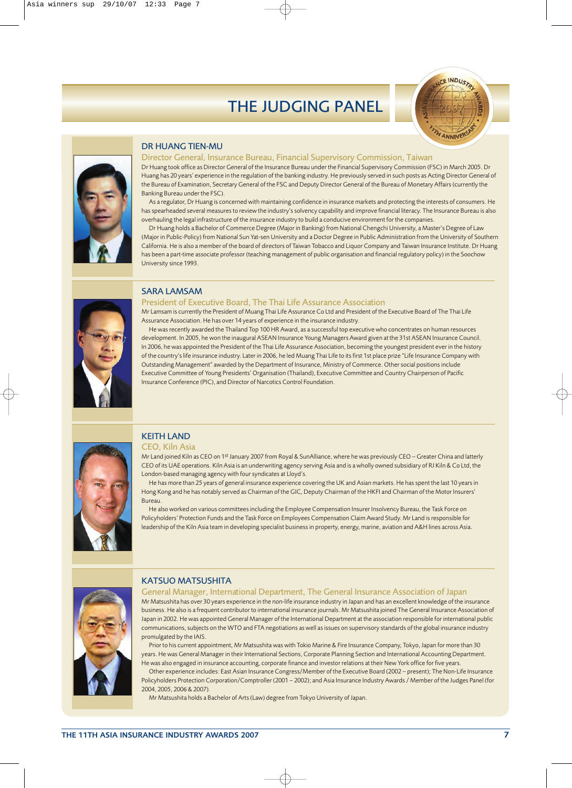



### DR HUANG TIEN-MU

#### Director General, Insurance Bureau, Financial Supervisory Commission, Taiwan

Dr Huang took office as Director General of the Insurance Bureau under the Financial Supervisory Commission (FSC) in March 2005. Dr Huang has 20 years' experience in the regulation of the banking industry. He previously served in such posts as Acting Director General of the Bureau of Examination, Secretary General of the FSC and Deputy Director General of the Bureau of Monetary Affairs (currently the Banking Bureau under the FSC).

As a regulator, Dr Huang is concerned with maintaining confidence in insurance markets and protecting the interests of consumers. He has spearheaded several measures to review the industry's solvency capability and improve financial literacy. The Insurance Bureau is also overhauling the legal infrastructure of the insurance industry to build a conducive environment for the companies.

Dr Huang holds a Bachelor of Commerce Degree (Major in Banking) from National Chengchi University, a Master's Degree of Law (Major in Public-Policy) from National Sun Yat-sen University and a Doctor Degree in Public Administration from the University of Southern California. He is also a member of the board of directors of Taiwan Tobacco and Liquor Company and Taiwan Insurance Institute. Dr Huang has been a part-time associate professor (teaching management of public organisation and financial regulatory policy) in the Soochow University since 1993.



### SARA LAMSAM

#### President of Executive Board, The Thai Life Assurance Association

Mr Lamsam is currently the President of Muang Thai Life Assurance Co Ltd and President of the Executive Board of The Thai Life Assurance Association. He has over 14 years of experience in the insurance industry.

He was recently awarded the Thailand Top 100 HR Award, as a successful top executive who concentrates on human resources development. In 2005, he won the inaugural ASEAN Insurance Young Managers Award given at the 31st ASEAN Insurance Council. In 2006, he was appointed the President of the Thai Life Assurance Association, becoming the youngest president ever in the history of the country's life insurance industry. Later in 2006, he led Muang Thai Life to its first 1st place prize "Life Insurance Company with Outstanding Management" awarded by the Department of Insurance, Ministry of Commerce. Other social positions include Executive Committee of Young Presidents' Organisation (Thailand), Executive Committee and Country Chairperson of Pacific Insurance Conference (PIC), and Director of Narcotics Control Foundation.



## KFITH LAND

CEO, Kiln Asia

Mr Land joined Kiln as CEO on 1st January 2007 from Royal & SunAlliance, where he was previously CEO – Greater China and latterly CEO of its UAE operations. Kiln Asia is an underwriting agency serving Asia and is a wholly owned subsidiary of RJ Kiln & Co Ltd, the London-based managing agency with four syndicates at Lloyd's.

He has more than 25 years of general insurance experience covering the UK and Asian markets. He has spent the last 10 years in Hong Kong and he has notably served as Chairman of the GIC, Deputy Chairman of the HKFI and Chairman of the Motor Insurers' Bureau.

He also worked on various committees including the Employee Compensation Insurer Insolvency Bureau, the Task Force on Policyholders' Protection Funds and the Task Force on Employees Compensation Claim Award Study. Mr Land is responsible for leadership of the Kiln Asia team in developing specialist business in property, energy, marine, aviation and A&H lines across Asia.



#### KATSUO MATSUSHITA

General Manager, International Department, The General Insurance Association of Japan Mr Matsushita has over 30 years experience in the non-life insurance industry in Japan and has an excellent knowledge of the insurance business. He also is a frequent contributor to international insurance journals. Mr Matsushita joined The General Insurance Association of Japan in 2002. He was appointed General Manager of the International Department at the association responsible for international public communications, subjects on the WTO and FTA negotiations as well as issues on supervisory standards of the global insurance industry promulgated by the IAIS.

Prior to his current appointment, Mr Matsushita was with Tokio Marine & Fire Insurance Company, Tokyo, Japan for more than 30 years. He was General Manager in their International Sections, Corporate Planning Section and International Accounting Department. He was also engaged in insurance accounting, corporate finance and investor relations at their New York office for five years.

Other experience includes: East Asian Insurance Congress/Member of the Executive Board (2002 – present); The Non-Life Insurance Policyholders Protection Corporation/Comptroller (2001 – 2002); and Asia Insurance Industry Awards / Member of the Judges Panel (for 2004, 2005, 2006 & 2007).

Mr Matsushita holds a Bachelor of Arts (Law) degree from Tokyo University of Japan.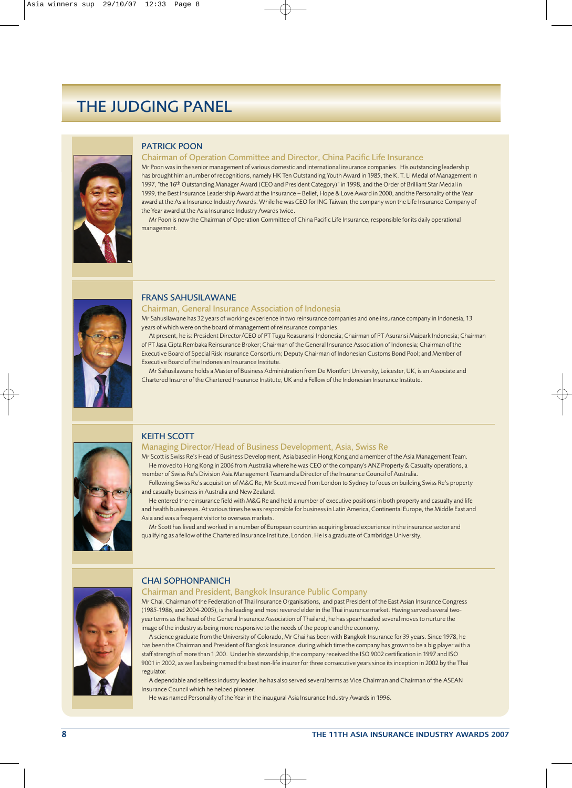

#### PATRICK POON

#### Chairman of Operation Committee and Director, China Pacific Life Insurance

Mr Poon was in the senior management of various domestic and international insurance companies. His outstanding leadership has brought him a number of recognitions, namely HK Ten Outstanding Youth Award in 1985, the K. T. Li Medal of Management in 1997, "the 16<sup>th</sup> Outstanding Manager Award (CEO and President Category)" in 1998, and the Order of Brilliant Star Medal in 1999, the Best Insurance Leadership Award at the Insurance – Belief, Hope & Love Award in 2000, and the Personality of the Year award at the Asia Insurance Industry Awards. While he was CEO for ING Taiwan, the company won the Life Insurance Company of the Year award at the Asia Insurance Industry Awards twice.

Mr Poon is now the Chairman of Operation Committee of China Pacific Life Insurance, responsible for its daily operational management.



#### FRANS SAHUSILAWANE

#### Chairman, General Insurance Association of Indonesia

Mr Sahusilawane has 32 years of working experience in two reinsurance companies and one insurance company in Indonesia, 13 years of which were on the board of management of reinsurance companies.

At present, he is: President Director/CEO of PT Tugu Reasuransi Indonesia; Chairman of PT Asuransi Maipark Indonesia; Chairman of PT Jasa Cipta Rembaka Reinsurance Broker; Chairman of the General Insurance Association of Indonesia; Chairman of the Executive Board of Special Risk Insurance Consortium; Deputy Chairman of Indonesian Customs Bond Pool; and Member of Executive Board of the Indonesian Insurance Institute.

Mr Sahusilawane holds a Master of Business Administration from De Montfort University, Leicester, UK, is an Associate and Chartered Insurer of the Chartered Insurance Institute, UK and a Fellow of the Indonesian Insurance Institute.



#### KEITH SCOTT

#### Managing Director/Head of Business Development, Asia, Swiss Re

Mr Scott is Swiss Re's Head of Business Development, Asia based in Hong Kong and a member of the Asia Management Team. He moved to Hong Kong in 2006 from Australia where he was CEO of the company's ANZ Property & Casualty operations, a member of Swiss Re's Division Asia Management Team and a Director of the Insurance Council of Australia.

Following Swiss Re's acquisition of M&G Re, Mr Scott moved from London to Sydney to focus on building Swiss Re's property and casualty business in Australia and New Zealand.

He entered the reinsurance field with M&G Re and held a number of executive positions in both property and casualty and life and health businesses. At various times he was responsible for business in Latin America, Continental Europe, the Middle East and Asia and was a frequent visitor to overseas markets.

Mr Scott has lived and worked in a number of European countries acquiring broad experience in the insurance sector and qualifying as a fellow of the Chartered Insurance Institute, London. He is a graduate of Cambridge University.



#### CHAI SOPHONPANICH

#### Chairman and President, Bangkok Insurance Public Company

Mr Chai, Chairman of the Federation of Thai Insurance Organisations, and past President of the East Asian Insurance Congress (1985-1986, and 2004-2005), is the leading and most revered elder in the Thai insurance market. Having served several twoyear terms as the head of the General Insurance Association of Thailand, he has spearheaded several moves to nurture the image of the industry as being more responsive to the needs of the people and the economy.

A science graduate from the University of Colorado, Mr Chai has been with Bangkok Insurance for 39 years. Since 1978, he has been the Chairman and President of Bangkok Insurance, during which time the company has grown to be a big player with a staff strength of more than 1,200. Under his stewardship, the company received the ISO 9002 certification in 1997 and ISO 9001 in 2002, as well as being named the best non-life insurer for three consecutive years since its inception in 2002 by the Thai regulator.

A dependable and selfless industry leader, he has also served several terms as Vice Chairman and Chairman of the ASEAN Insurance Council which he helped pioneer.

He was named Personality of the Year in the inaugural Asia Insurance Industry Awards in 1996.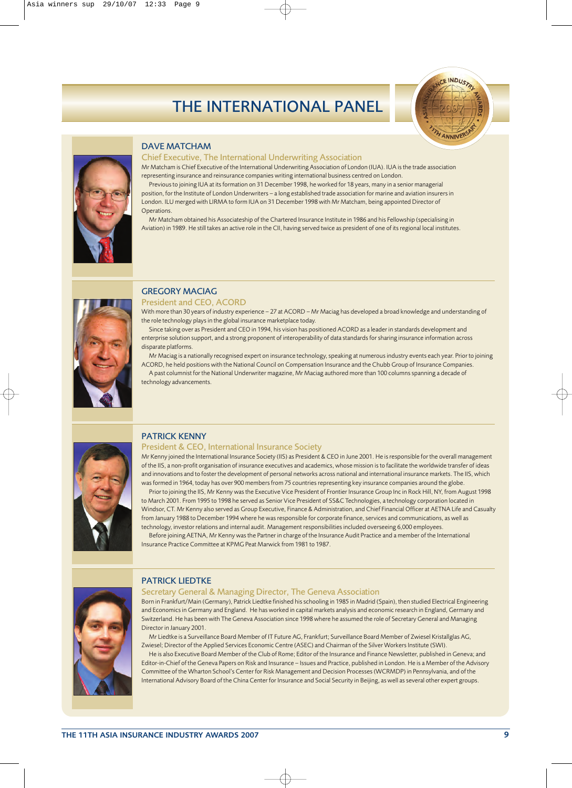## THE INTERNATIONAL PANEL





#### DAVE MATCHAM

#### Chief Executive, The International Underwriting Association

Mr Matcham is Chief Executive of the International Underwriting Association of London (IUA). IUA is the trade association representing insurance and reinsurance companies writing international business centred on London.

Previous to joining IUA at its formation on 31 December 1998, he worked for 18 years, many in a senior managerial position, for the Institute of London Underwriters – a long established trade association for marine and aviation insurers in London. ILU merged with LIRMA to form IUA on 31 December 1998 with Mr Matcham, being appointed Director of Operations.

Mr Matcham obtained his Associateship of the Chartered Insurance Institute in 1986 and his Fellowship (specialising in Aviation) in 1989. He still takes an active role in the CII, having served twice as president of one of its regional local institutes.



## GREGORY MACIAG

President and CEO, ACORD

With more than 30 years of industry experience – 27 at ACORD – Mr Maciag has developed a broad knowledge and understanding of the role technology plays in the global insurance marketplace today.

Since taking over as President and CEO in 1994, his vision has positioned ACORD as a leader in standards development and enterprise solution support, and a strong proponent of interoperability of data standards for sharing insurance information across disparate platforms.

Mr Maciag is a nationally recognised expert on insurance technology, speaking at numerous industry events each year. Prior to joining ACORD, he held positions with the National Council on Compensation Insurance and the Chubb Group of Insurance Companies.

A past columnist for the National Underwriter magazine, Mr Maciag authored more than 100 columns spanning a decade of technology advancements.



### PATRICK KENNY

#### President & CEO, International Insurance Society

Mr Kenny joined the International Insurance Society (IIS) as President & CEO in June 2001. He is responsible for the overall management of the IIS, a non-profit organisation of insurance executives and academics, whose mission is to facilitate the worldwide transfer of ideas and innovations and to foster the development of personal networks across national and international insurance markets. The IIS, which was formed in 1964, today has over 900 members from 75 countries representing key insurance companies around the globe.

Prior to joining the IIS, Mr Kenny was the Executive Vice President of Frontier Insurance Group Inc in Rock Hill, NY, from August 1998 to March 2001. From 1995 to 1998 he served as Senior Vice President of SS&C Technologies, a technology corporation located in Windsor, CT. Mr Kenny also served as Group Executive, Finance & Administration, and Chief Financial Officer at AETNA Life and Casualty from January 1988 to December 1994 where he was responsible for corporate finance, services and communications, as well as technology, investor relations and internal audit. Management responsibilities included overseeing 6,000 employees.

Before joining AETNA, Mr Kenny was the Partner in charge of the Insurance Audit Practice and a member of the International Insurance Practice Committee at KPMG Peat Marwick from 1981 to 1987.



#### PATRICK LIEDTKE

Secretary General & Managing Director, The Geneva Association

Born in Frankfurt/Main (Germany), Patrick Liedtke finished his schooling in 1985 in Madrid (Spain), then studied Electrical Engineering and Economics in Germany and England. He has worked in capital markets analysis and economic research in England, Germany and Switzerland. He has been with The Geneva Association since 1998 where he assumed the role of Secretary General and Managing Director in January 2001.

Mr Liedtke is a Surveillance Board Member of IT Future AG, Frankfurt; Surveillance Board Member of Zwiesel Kristallglas AG, Zwiesel; Director of the Applied Services Economic Centre (ASEC) and Chairman of the Silver Workers Institute (SWI).

He is also Executive Board Member of the Club of Rome; Editor of the Insurance and Finance Newsletter, published in Geneva; and Editor-in-Chief of the Geneva Papers on Risk and Insurance – Issues and Practice, published in London. He is a Member of the Advisory Committee of the Wharton School's Center for Risk Management and Decision Processes (WCRMDP) in Pennsylvania, and of the International Advisory Board of the China Center for Insurance and Social Security in Beijing, as well as several other expert groups.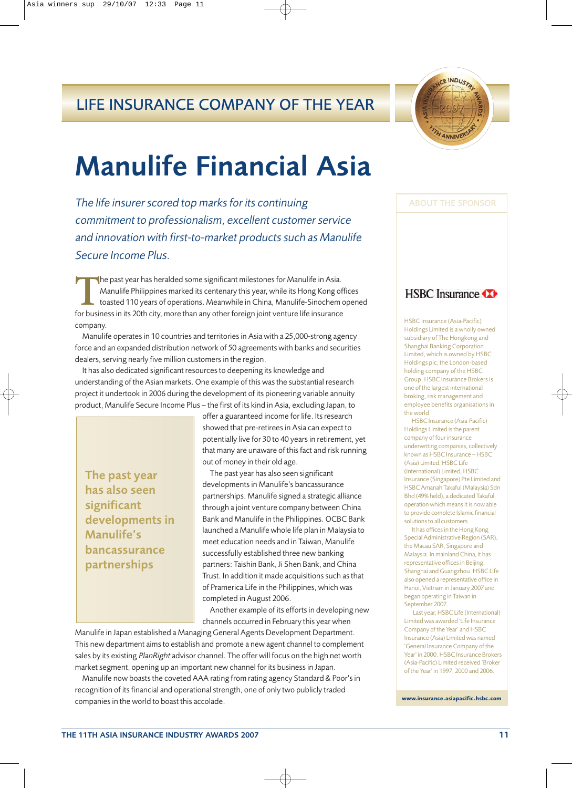## LIFE INSURANCE COMPANY OF THE YEAR

## Manulife Financial Asia

*The life insurer scored top marks for its continuing commitment to professionalism, excellent customer service and innovation with first-to-market products such as Manulife Secure Income Plus.*

The past year has heralded some significant milestones for Manulife in Asia.<br>
Manulife Philippines marked its centenary this year, while its Hong Kong or<br>
toasted 110 years of operations. Meanwhile in China, Manulife-Sinoc Manulife Philippines marked its centenary this year, while its Hong Kong offices toasted 110 years of operations. Meanwhile in China, Manulife-Sinochem opened for business in its 20th city, more than any other foreign joint venture life insurance company.

Manulife operates in 10 countries and territories in Asia with a 25,000-strong agency force and an expanded distribution network of 50 agreements with banks and securities dealers, serving nearly five million customers in the region.

It has also dedicated significant resources to deepening its knowledge and understanding of the Asian markets. One example of this was the substantial research project it undertook in 2006 during the development of its pioneering variable annuity product, Manulife Secure Income Plus – the first of its kind in Asia, excluding Japan, to

The past year has also seen significant developments in Manulife's bancassurance partnerships

offer a guaranteed income for life. Its research showed that pre-retirees in Asia can expect to potentially live for 30 to 40 years in retirement, yet that many are unaware of this fact and risk running out of money in their old age.

The past year has also seen significant developments in Manulife's bancassurance partnerships. Manulife signed a strategic alliance through a joint venture company between China Bank and Manulife in the Philippines. OCBC Bank launched a Manulife whole life plan in Malaysia to meet education needs and in Taiwan, Manulife successfully established three new banking partners: Taishin Bank, Ji Shen Bank, and China Trust. In addition it made acquisitions such as that of Pramerica Life in the Philippines, which was completed in August 2006.

Another example of its efforts in developing new channels occurred in February this year when

Manulife in Japan established a Managing General Agents Development Department. This new department aims to establish and promote a new agent channel to complement sales by its existing PlanRight advisor channel. The offer will focus on the high net worth market segment, opening up an important new channel for its business in Japan.

Manulife now boasts the coveted AAA rating from rating agency Standard & Poor's in recognition of its financial and operational strength, one of only two publicly traded companies in the world to boast this accolade.



ABOUT THE SPONSOR

### **HSBC** Insurance

HSBC Insurance (Asia-Pacific) Holdings Limited is a wholly owned subsidiary of The Hongkong and Shanghai Banking Corporation Limited, which is owned by HSBC Holdings plc, the London-based holding company of the HSBC Group. HSBC Insurance Brokers is one of the largest international broking, risk management and employee benefits organisations in the world.

HSBC Insurance (Asia-Pacific) Holdings Limited is the parent company of four insurance underwriting companies, collectively known as HSBC Insurance – HSBC (Asia) Limited, HSBC Life (International) Limited, HSBC Insurance (Singapore) Pte Limited and HSBC Amanah Takaful (Malaysia) Sdn Bhd (49% held), a dedicated Takaful operation which means it is now able to provide complete Islamic financial solutions to all customers.

It has offices in the Hong Kong Special Administrative Region (SAR), the Macau SAR, Singapore and Malaysia. In mainland China, it has representative offices in Beijing, Shanghai and Guangzhou. HSBC Life also opened a representative office in Hanoi, Vietnam in January 2007 and began operating in Taiwan in September 2007.

Last year, HSBC Life (International) Limited was awarded 'Life Insurance Company of the Year' and HSBC Insurance (Asia) Limited was named 'General Insurance Company of the Year' in 2000. HSBC Insurance Brokers (Asia-Pacific) Limited received 'Broker of the Year' in 1997, 2000 and 2006.

**www.insurance.asiapacific.hsbc.com**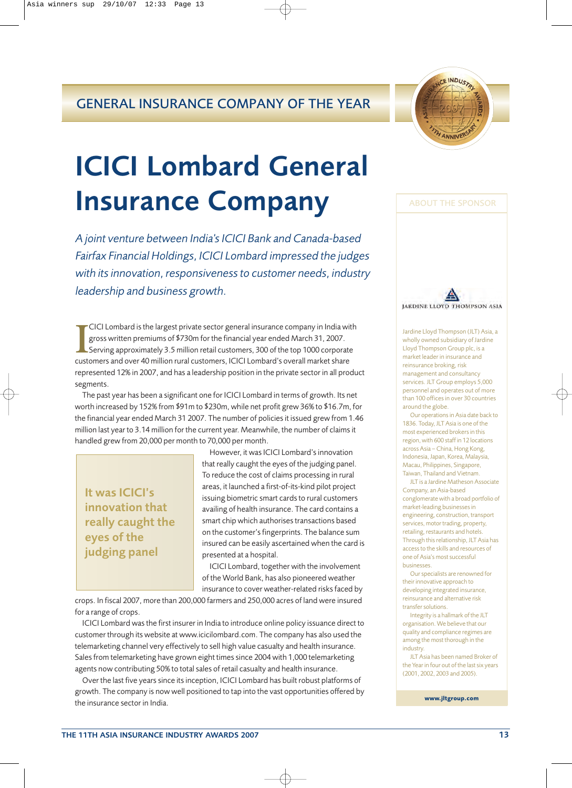## GENERAL INSURANCE COMPANY OF THE YEAR



## ICICI Lombard General Insurance Company

*A joint venture between India's ICICI Bank and Canada-based Fairfax Financial Holdings, ICICI Lombard impressed the judges with its innovation, responsiveness to customer needs, industry leadership and business growth.*

**II** CICI Lombard is the largest private sector general insurance company in India wigross written premiums of \$730m for the financial year ended March 31, 2007.<br>Serving approximately 3.5 million retail customers, 300 of t CICI Lombard is the largest private sector general insurance company in India with gross written premiums of \$730m for the financial year ended March 31, 2007. Serving approximately 3.5 million retail customers, 300 of the top 1000 corporate represented 12% in 2007, and has a leadership position in the private sector in all product segments.

The past year has been a significant one for ICICI Lombard in terms of growth. Its net worth increased by 152% from \$91m to \$230m, while net profit grew 36% to \$16.7m, for the financial year ended March 31 2007. The number of policies it issued grew from 1.46 million last year to 3.14 million for the current year. Meanwhile, the number of claims it handled grew from 20,000 per month to 70,000 per month.

It was ICICI's innovation that really caught the eyes of the judging panel

However, it was ICICI Lombard's innovation that really caught the eyes of the judging panel. To reduce the cost of claims processing in rural areas, it launched a first-of-its-kind pilot project issuing biometric smart cards to rural customers availing of health insurance. The card contains a smart chip which authorises transactions based on the customer's fingerprints. The balance sum insured can be easily ascertained when the card is presented at a hospital.

ICICI Lombard, together with the involvement of the World Bank, has also pioneered weather insurance to cover weather-related risks faced by

crops. In fiscal 2007, more than 200,000 farmers and 250,000 acres of land were insured for a range of crops.

ICICI Lombard was the first insurer in India to introduce online policy issuance direct to customer through its website at www.icicilombard.com. The company has also used the telemarketing channel very effectively to sell high value casualty and health insurance. Sales from telemarketing have grown eight times since 2004 with 1,000 telemarketing agents now contributing 50% to total sales of retail casualty and health insurance.

Over the last five years since its inception, ICICI Lombard has built robust platforms of growth. The company is now well positioned to tap into the vast opportunities offered by the insurance sector in India.



Jardine Lloyd Thompson (JLT) Asia, a wholly owned subsidiary of Jardine Lloyd Thompson Group plc, is a market leader in insurance and reinsurance broking, risk management and consultancy services. JLT Group employs 5,000 personnel and operates out of more than 100 offices in over 30 countries around the globe.

Our operations in Asia date back to 1836. Today, JLT Asia is one of the most experienced brokers in this region, with 600 staff in 12 locations across Asia – China, Hong Kong, Indonesia, Japan, Korea, Malaysia, Macau, Philippines, Singapore, Taiwan, Thailand and Vietnam.

JLT is a Jardine Matheson Associate Company, an Asia-based conglomerate with a broad portfolio of market-leading businesses in engineering, construction, transport services, motor trading, property, retailing, restaurants and hotels. Through this relationship, JLT Asia has access to the skills and resources of one of Asia's most successful businesses.

Our specialists are renowned for their innovative approach to developing integrated insurance, reinsurance and alternative risk transfer solutions.

Integrity is a hallmark of the JLT organisation. We believe that our quality and compliance regimes are among the most thorough in the industry.

JLT Asia has been named Broker of the Year in four out of the last six years (2001, 2002, 2003 and 2005).

**www.jltgroup.com**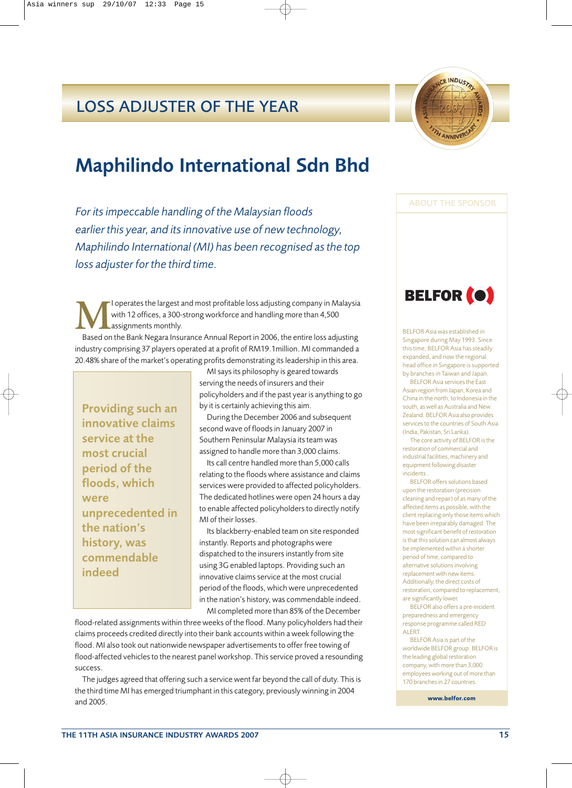## LOSS ADJUSTER OF THE YEAR

## Maphilindo International Sdn Bhd

*For its impeccable handling of the Malaysian floods earlier this year, and its innovative use of new technology, Maphilindo International (MI) has been recognised as the top loss adjuster for the third time.*

**M**I operates the largest and most profitable loss adjusting company in Malaysia with 12 offices, a 300-strong workforce and handling more than 4,500 assignments monthly.

Based on the Bank Negara Insurance Annual Report in 2006, the entire loss adjusting industry comprising 37 players operated at a profit of RM19.1million. MI commanded a 20.48% share of the market's operating profits demonstrating its leadership in this area.

Providing such an innovative claims service at the most crucial period of the floods, which were unprecedented in the nation's history, was commendable indeed

MI says its philosophy is geared towards serving the needs of insurers and their policyholders and if the past year is anything to go by it is certainly achieving this aim.

During the December 2006 and subsequent second wave of floods in January 2007 in Southern Peninsular Malaysia its team was assigned to handle more than 3,000 claims.

Its call centre handled more than 5,000 calls relating to the floods where assistance and claims services were provided to affected policyholders. The dedicated hotlines were open 24 hours a day to enable affected policyholders to directly notify MI of their losses.

Its blackberry-enabled team on site responded instantly. Reports and photographs were dispatched to the insurers instantly from site using 3G enabled laptops. Providing such an innovative claims service at the most crucial period of the floods, which were unprecedented in the nation's history, was commendable indeed. MI completed more than 85% of the December

flood-related assignments within three weeks of the flood. Many policyholders had their claims proceeds credited directly into their bank accounts within a week following the flood. MI also took out nationwide newspaper advertisements to offer free towing of flood-affected vehicles to the nearest panel workshop. This service proved a resounding success.

The judges agreed that offering such a service went far beyond the call of duty. This is the third time MI has emerged triumphant in this category, previously winning in 2004 and 2005.



ABOUT THE SPONSOR



BELFOR Asia was established in Singapore during May 1993. Since this time, BELFOR Asia has steadily expanded, and now the regional head office in Singapore is supported by branches in Taiwan and Japan.

BELFOR Asia services the East Asian region from Japan, Korea and China in the north, to Indonesia in the south, as well as Australia and New Zealand. BELFOR Asia also provides services to the countries of South Asia (India, Pakistan, Sri Lanka).

The core activity of BELFOR is the restoration of commercial and industrial facilities, machinery and equipment following disaster incidents .

BELFOR offers solutions based upon the restoration (precision cleaning and repair) of as many of the affected items as possible, with the client replacing only those items which have been irreparably damaged. The most significant benefit of restoration is that this solution can almost always be implemented within a shorter period of time, compared to alternative solutions involving replacement with new items. Additionally, the direct costs of restoration, compared to replacement, are significantly lower.

BELFOR also offers a pre-incident preparedness and emergency response programme called RED ALERT.

BELFOR Asia is part of the worldwide BELFOR group. BELFOR is the leading global restoration company, with more than 3,000 employees working out of more than 170 branches in 27 countries.

**www.belfor.com**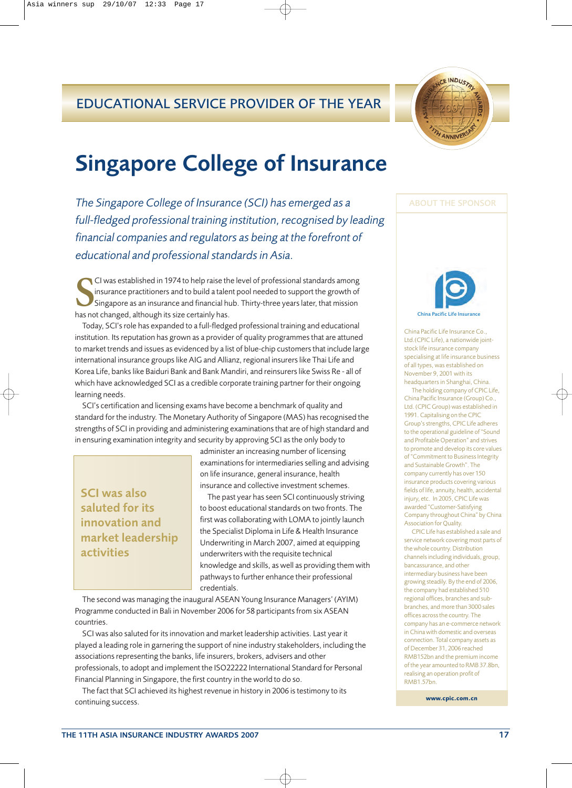## EDUCATIONAL SERVICE PROVIDER OF THE YEAR



## Singapore College of Insurance

*The Singapore College of Insurance (SCI) has emerged as a full-fledged professional training institution, recognised by leading financial companies and regulators as being at the forefront of educational and professional standards in Asia.*

**S** CI was established in 1974 to help raise the insurance practitioners and to build a tale<br>Singapore as an insurance and financial has not changed, although its size certainly has. CI was established in 1974 to help raise the level of professional standards among insurance practitioners and to build a talent pool needed to support the growth of Singapore as an insurance and financial hub. Thirty-three years later, that mission

Today, SCI's role has expanded to a full-fledged professional training and educational institution. Its reputation has grown as a provider of quality programmes that are attuned to market trends and issues as evidenced by a list of blue-chip customers that include large international insurance groups like AIG and Allianz, regional insurers like Thai Life and Korea Life, banks like Baiduri Bank and Bank Mandiri, and reinsurers like Swiss Re - all of which have acknowledged SCI as a credible corporate training partner for their ongoing learning needs.

SCI's certification and licensing exams have become a benchmark of quality and standard for the industry. The Monetary Authority of Singapore (MAS) has recognised the strengths of SCI in providing and administering examinations that are of high standard and in ensuring examination integrity and security by approving SCI as the only body to

SCI was also saluted for its innovation and market leadership activities

administer an increasing number of licensing examinations for intermediaries selling and advising on life insurance, general insurance, health insurance and collective investment schemes.

The past year has seen SCI continuously striving to boost educational standards on two fronts. The first was collaborating with LOMA to jointly launch the Specialist Diploma in Life & Health Insurance Underwriting in March 2007, aimed at equipping underwriters with the requisite technical knowledge and skills, as well as providing them with pathways to further enhance their professional credentials.

The second was managing the inaugural ASEAN Young Insurance Managers' (AYIM) Programme conducted in Bali in November 2006 for 58 participants from six ASEAN countries.

SCI was also saluted for its innovation and market leadership activities. Last year it played a leading role in garnering the support of nine industry stakeholders, including the associations representing the banks, life insurers, brokers, advisers and other professionals, to adopt and implement the ISO22222 International Standard for Personal Financial Planning in Singapore, the first country in the world to do so.

The fact that SCI achieved its highest revenue in history in 2006 is testimony to its continuing success.



ABOUT THE SPONSOR

China Pacific Life Insurance Co., Ltd.(CPIC Life), a nationwide jointstock life insurance company specialising at life insurance business of all types, was established on November 9, 2001 with its headquarters in Shanghai, China.

The holding company of CPIC Life, China Pacific Insurance (Group) Co., Ltd. (CPIC Group) was established in 1991. Capitalising on the CPIC Group's strengths, CPIC Life adheres to the operational guideline of "Sound and Profitable Operation" and strives to promote and develop its core values of "Commitment to Business Integrity and Sustainable Growth". The company currently has over 150 insurance products covering various fields of life, annuity, health, accidental injury, etc. In 2005, CPIC Life was awarded "Customer-Satisfying Company throughout China" by China Association for Quality.

CPIC Life has established a sale and service network covering most parts of the whole country. Distribution channels including individuals, group, bancassurance, and other intermediary business have been growing steadily. By the end of 2006, the company had established 510 regional offices, branches and subbranches, and more than 3000 sales offices across the country. The company has an e-commerce network in China with domestic and overseas connection. Total company assets as of December 31, 2006 reached RMB152bn and the premium income of the year amounted to RMB 37.8bn, realising an operation profit of RMB1.57bn.

**www.cpic.com.cn**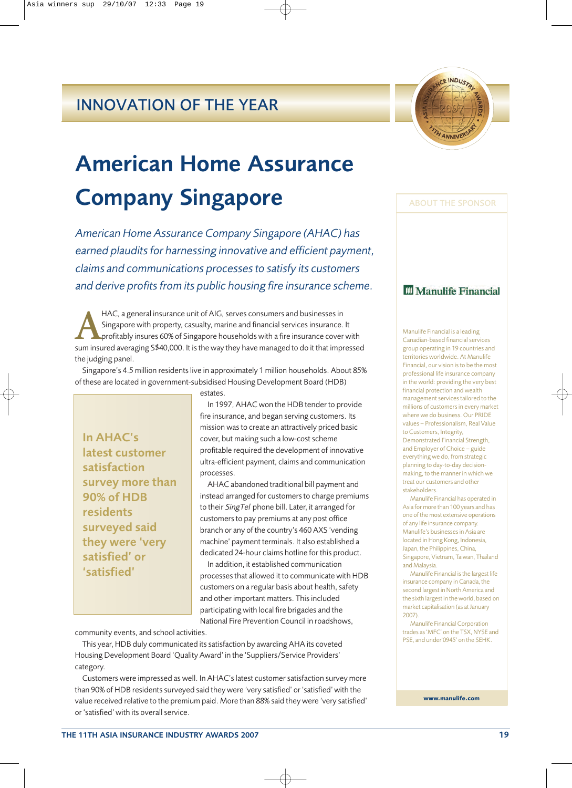## INNOVATION OF THE YEAR

## American Home Assurance Company Singapore

*American Home Assurance Company Singapore (AHAC) has earned plaudits for harnessing innovative and efficient payment, claims and communications processes to satisfy its customers and derive profits from its public housing fire insurance scheme.*

HAC, a general insurance unit of AIG, serves consumers and businesses in<br>Singapore with property, casualty, marine and financial services insurance.<br>profitably insures 60% of Singapore households with a fire insurance cove Singapore with property, casualty, marine and financial services insurance. It profitably insures 60% of Singapore households with a fire insurance cover with sum insured averaging S\$40,000. It is the way they have managed to do it that impressed the judging panel.

Singapore's 4.5 million residents live in approximately 1 million households. About 85% of these are located in government-subsidised Housing Development Board (HDB)

estates.

In AHAC's latest customer satisfaction survey more than 90% of HDB residents surveyed said they were 'very satisfied' or 'satisfied'

In 1997, AHAC won the HDB tender to provide fire insurance, and began serving customers. Its mission was to create an attractively priced basic cover, but making such a low-cost scheme profitable required the development of innovative ultra-efficient payment, claims and communication processes.

AHAC abandoned traditional bill payment and instead arranged for customers to charge premiums to their SingTel phone bill. Later, it arranged for customers to pay premiums at any post office branch or any of the country's 460 AXS 'vending machine' payment terminals. It also established a dedicated 24-hour claims hotline for this product.

In addition, it established communication processes that allowed it to communicate with HDB customers on a regular basis about health, safety and other important matters. This included participating with local fire brigades and the National Fire Prevention Council in roadshows,

community events, and school activities.

This year, HDB duly communicated its satisfaction by awarding AHA its coveted Housing Development Board 'Quality Award' in the 'Suppliers/Service Providers' category.

Customers were impressed as well. In AHAC's latest customer satisfaction survey more than 90% of HDB residents surveyed said they were 'very satisfied' or 'satisfied' with the value received relative to the premium paid. More than 88% said they were 'very satisfied' or 'satisfied' with its overall service.

### **III** Manulife Financial

ABOUT THE SPONSOR

Manulife Financial is a leading Canadian-based financial services group operating in 19 countries and territories worldwide. At Manulife Financial, our vision is to be the most professional life insurance company in the world: providing the very best financial protection and wealth management services tailored to the millions of customers in every market where we do business. Our PRIDE values – Professionalism, Real Value to Customers, Integrity, Demonstrated Financial Strength, and Employer of Choice – guide everything we do, from strategic planning to day-to-day decisionmaking, to the manner in which we treat our customers and other stakeholders.

Manulife Financial has operated in Asia for more than 100 years and has one of the most extensive operations of any life insurance company. Manulife's businesses in Asia are located in Hong Kong, Indonesia, Japan, the Philippines, China, Singapore, Vietnam, Taiwan, Thailand and Malaysia.

Manulife Financial is the largest life insurance company in Canada, the second largest in North America and the sixth largest in the world, based on market capitalisation (as at January 2007).

Manulife Financial Corporation trades as 'MFC' on the TSX, NYSE and PSE, and under'0945' on the SEHK.

**www.manulife.com**

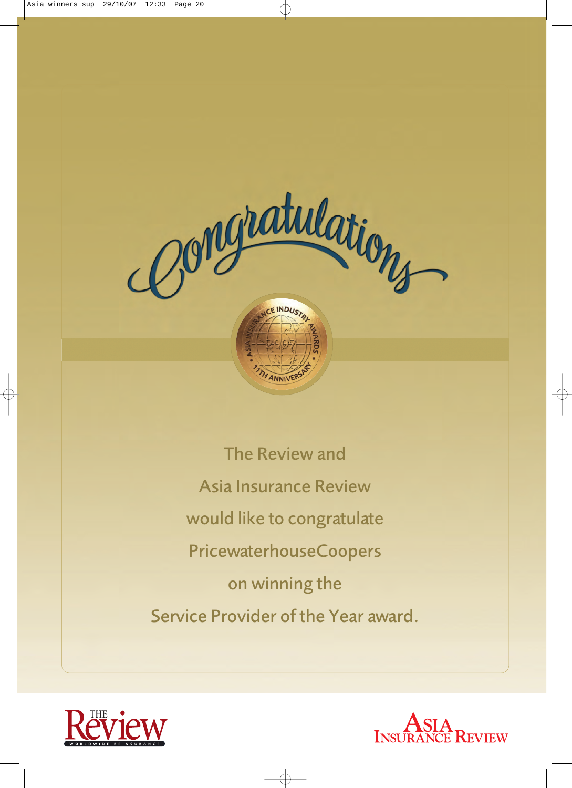

The Review and Asia Insurance Review would like to congratulate PricewaterhouseCoopers on winning the Service Provider of the Year award.



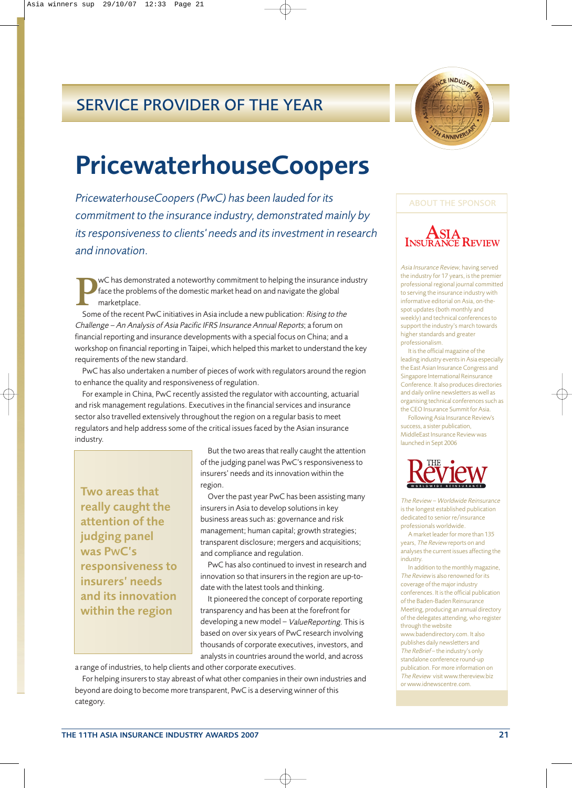## SERVICE PROVIDER OF THE YEAR



## PricewaterhouseCoopers

*PricewaterhouseCoopers (PwC) has been lauded for its commitment to the insurance industry, demonstrated mainly by its responsiveness to clients' needs and its investment in research and innovation.*

**P**wC has demonstrated a noteworthy commitment to helping the insurance industry face the problems of the domestic market head on and navigate the global marketplace.

Some of the recent PwC initiatives in Asia include a new publication: Rising to the Challenge – An Analysis of Asia Pacific IFRS Insurance Annual Reports; a forum on financial reporting and insurance developments with a special focus on China; and a workshop on financial reporting in Taipei, which helped this market to understand the key requirements of the new standard.

PwC has also undertaken a number of pieces of work with regulators around the region to enhance the quality and responsiveness of regulation.

For example in China, PwC recently assisted the regulator with accounting, actuarial and risk management regulations. Executives in the financial services and insurance sector also travelled extensively throughout the region on a regular basis to meet regulators and help address some of the critical issues faced by the Asian insurance industry.

Two areas that really caught the attention of the judging panel was PWC's responsiveness to insurers' needs and its innovation within the region

But the two areas that really caught the attention of the judging panel was PwC's responsiveness to insurers' needs and its innovation within the region.

Over the past year PwC has been assisting many insurers in Asia to develop solutions in key business areas such as: governance and risk management; human capital; growth strategies; transparent disclosure; mergers and acquisitions; and compliance and regulation.

PwC has also continued to invest in research and innovation so that insurers in the region are up-todate with the latest tools and thinking.

It pioneered the concept of corporate reporting transparency and has been at the forefront for developing a new model – ValueReporting. This is based on over six years of PwC research involving thousands of corporate executives, investors, and analysts in countries around the world, and across

a range of industries, to help clients and other corporate executives.

For helping insurers to stay abreast of what other companies in their own industries and beyond are doing to become more transparent, PwC is a deserving winner of this category.

### ABOUT THE SPONSOR



Asia Insurance Review, having served the industry for 17 years, is the premier professional regional journal committed to serving the insurance industry with informative editorial on Asia, on-thespot updates (both monthly and weekly) and technical conferences to support the industry's march towards higher standards and greater professionalism.

It is the official magazine of the leading industry events in Asia especially the East Asian Insurance Congress and Singapore International Reinsurance Conference. It also produces directories and daily online newsletters as well as organising technical conferences such as the CEO Insurance Summit for Asia.

Following Asia Insurance Review's success, a sister publication, MiddleEast Insurance Review was launched in Sept 2006



The Review – Worldwide Reinsurance is the longest established publication dedicated to senior re/insurance professionals worldwide.

A market leader for more than 135 years, The Review reports on and analyses the current issues affecting the industry.

In addition to the monthly magazine, The Review is also renowned for its coverage of the major industry conferences. It is the official publication of the Baden-Baden Reinsurance Meeting, producing an annual directory of the delegates attending, who register through the website

www.badendirectory.com. It also publishes daily newsletters and The ReBrief – the industry's only standalone conference round-up publication. For more information on The Review visit www.thereview.biz or www.idnewscentre.com.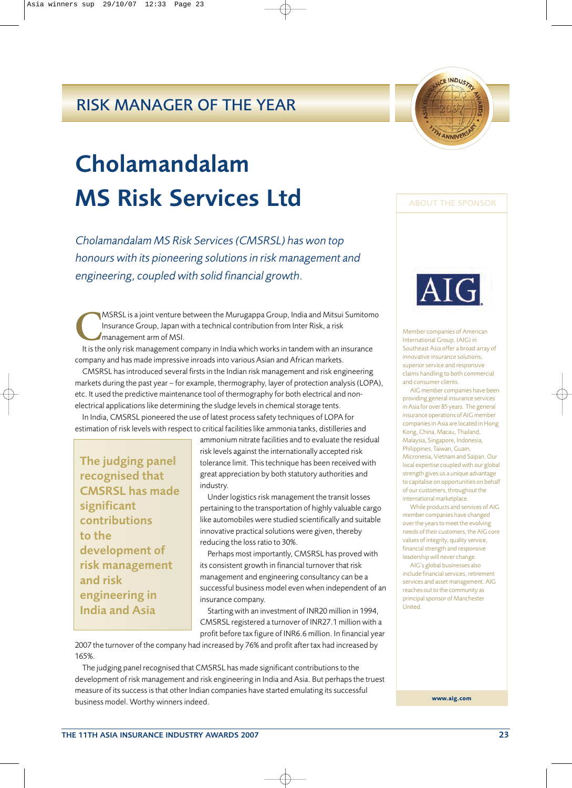## RISK MANAGER OF THE YEAR

## Cholamandalam MS Risk Services Ltd

*Cholamandalam MS Risk Services (CMSRSL) has won top honours with its pioneering solutions in risk management and engineering, coupled with solid financial growth.*

**MSRSL** is a joint venture between the Murugappa Group, India and Mitsui Sumitomo Insurance Group, Japan with a technical contribution from Inter Risk, a risk management arm of MSI.

It is the only risk management company in India which works in tandem with an insurance company and has made impressive inroads into various Asian and African markets.

CMSRSL has introduced several firsts in the Indian risk management and risk engineering markets during the past year – for example, thermography, layer of protection analysis (LOPA), etc. It used the predictive maintenance tool of thermography for both electrical and nonelectrical applications like determining the sludge levels in chemical storage tents.

In India, CMSRSL pioneered the use of latest process safety techniques of LOPA for estimation of risk levels with respect to critical facilities like ammonia tanks, distilleries and

The judging panel recognised that CMSRSL has made significant contributions to the development of risk management and risk engineering in India and Asia

ammonium nitrate facilities and to evaluate the residual risk levels against the internationally accepted risk tolerance limit. This technique has been received with great appreciation by both statutory authorities and industry.

Under logistics risk management the transit losses pertaining to the transportation of highly valuable cargo like automobiles were studied scientifically and suitable innovative practical solutions were given, thereby reducing the loss ratio to 30%.

Perhaps most importantly, CMSRSL has proved with its consistent growth in financial turnover that risk management and engineering consultancy can be a successful business model even when independent of an insurance company.

Starting with an investment of INR20 million in 1994, CMSRSL registered a turnover of INR27.1 million with a profit before tax figure of INR6.6 million. In financial year

2007 the turnover of the company had increased by 76% and profit after tax had increased by 165%.

The judging panel recognised that CMSRSL has made significant contributions to the development of risk management and risk engineering in India and Asia. But perhaps the truest measure of its success is that other Indian companies have started emulating its successful business model. Worthy winners indeed.



ABOUT THE SPONSOR

Member companies of American International Group, (AIG) in Southeast Asia offer a broad array of innovative insurance solutions, superior service and responsive claims handling to both commercial and consumer clients.

AIG member companies have been providing general insurance services in Asia for over 85 years. The general insurance operations of AIG member companies in Asia are located in Hong Kong, China, Macau, Thailand, Malaysia, Singapore, Indonesia, Philippines, Taiwan, Guam, Micronesia, Vietnam and Saipan. Our local expertise coupled with our global strength gives us a unique advantage to capitalise on opportunities on behalf of our customers, throughout the international marketplace.

While products and services of AIG member companies have changed over the years to meet the evolving needs of their customers, the AIG core values of integrity, quality service, financial strength and responsive leadership will never change.

AIG's global businesses also include financial services, retirement services and asset management. AIG reaches out to the community as principal sponsor of Manchester **United.** 

**www.aig.com**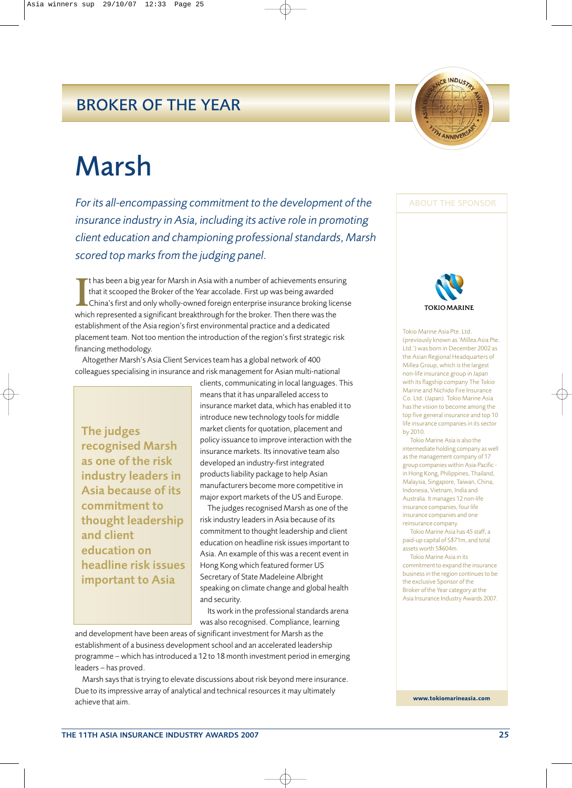## BROKER OF THE YEAR



*For its all-encompassing commitment to the development of the insurance industry in Asia, including its active role in promoting client education and championing professional standards, Marsh scored top marks from the judging panel.*

**I** t has been a big year for Marsh in Asia with a number of achievements ensuring that it scooped the Broker of the Year accolade. First up was being awarded China's first and only wholly-owned foreign enterprise insurance broking license which represented a significant breakthrough for the broker. Then there was the establishment of the Asia region's first environmental practice and a dedicated placement team. Not too mention the introduction of the region's first strategic risk financing methodology.

Altogether Marsh's Asia Client Services team has a global network of 400 colleagues specialising in insurance and risk management for Asian multi-national

The judges recognised Marsh as one of the risk industry leaders in Asia because of its commitment to thought leadership and client education on headline risk issues important to Asia

clients, communicating in local languages. This means that it has unparalleled access to insurance market data, which has enabled it to introduce new technology tools for middle market clients for quotation, placement and policy issuance to improve interaction with the insurance markets. Its innovative team also developed an industry-first integrated products liability package to help Asian manufacturers become more competitive in major export markets of the US and Europe.

The judges recognised Marsh as one of the risk industry leaders in Asia because of its commitment to thought leadership and client education on headline risk issues important to Asia. An example of this was a recent event in Hong Kong which featured former US Secretary of State Madeleine Albright speaking on climate change and global health and security.

Its work in the professional standards arena was also recognised. Compliance, learning

and development have been areas of significant investment for Marsh as the establishment of a business development school and an accelerated leadership programme – which has introduced a 12 to 18 month investment period in emerging leaders – has proved.

Marsh says that is trying to elevate discussions about risk beyond mere insurance. Due to its impressive array of analytical and technical resources it may ultimately achieve that aim.



**ACE INDUSTRY** 

ANNIV



Tokio Marine Asia Pte. Ltd. (previously known as 'Millea Asia Pte. Ltd.') was born in December 2002 as the Asian Regional Headquarters of Millea Group, which is the largest non-life insurance group in Japan with its flagship company The Tokio Marine and Nichido Fire Insurance Co. Ltd. (Japan). Tokio Marine Asia has the vision to become among the top five general insurance and top 10 life insurance companies in its sector by 2010.

Tokio Marine Asia is also the intermediate holding company as well as the management company of 17 group companies within Asia-Pacific in Hong Kong, Philippines, Thailand, Malaysia, Singapore, Taiwan, China, Indonesia, Vietnam, India and Australia. It manages 12 non-life insurance companies, four life insurance companies and one reinsurance company.

Tokio Marine Asia has 45 staff, a paid-up capital of S\$71m, and total assets worth S\$604m.

Tokio Marine Asia in its commitment to expand the insurance business in the region continues to be the exclusive Sponsor of the Broker of the Year category at the Asia Insurance Industry Awards 2007.

**www.tokiomarineasia.com**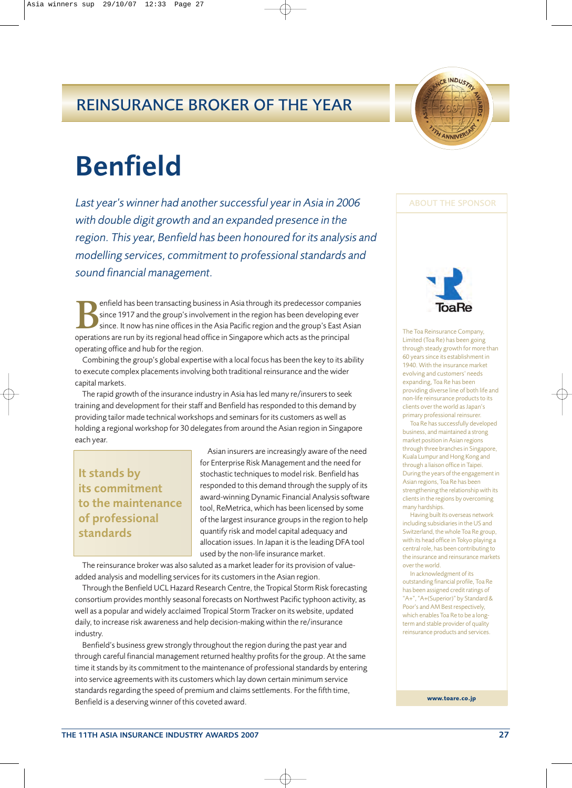## REINSURANCE BROKER OF THE YEAR



## Benfield

*Last year's winner had another successful year in Asia in 2006 with double digit growth and an expanded presence in the region. This year, Benfield has been honoured for its analysis and modelling services, commitment to professional standards and sound financial management.*

enfield has been transacting business in Asia through its predecessor companies since 1917 and the group's involvement in the region has been developing ever since. It now has nine offices in the Asia Pacific region and the group's East Asian operations are run by its regional head office in Singapore which acts as the principal operating office and hub for the region.

Combining the group's global expertise with a local focus has been the key to its ability to execute complex placements involving both traditional reinsurance and the wider capital markets.

The rapid growth of the insurance industry in Asia has led many re/insurers to seek training and development for their staff and Benfield has responded to this demand by providing tailor made technical workshops and seminars for its customers as well as holding a regional workshop for 30 delegates from around the Asian region in Singapore each year.

## It stands by its commitment to the maintenance of professional standards

Asian insurers are increasingly aware of the need for Enterprise Risk Management and the need for stochastic techniques to model risk. Benfield has responded to this demand through the supply of its award-winning Dynamic Financial Analysis software tool, ReMetrica, which has been licensed by some of the largest insurance groups in the region to help quantify risk and model capital adequacy and allocation issues. In Japan it is the leading DFA tool used by the non-life insurance market.

The reinsurance broker was also saluted as a market leader for its provision of valueadded analysis and modelling services for its customers in the Asian region.

Through the Benfield UCL Hazard Research Centre, the Tropical Storm Risk forecasting consortium provides monthly seasonal forecasts on Northwest Pacific typhoon activity, as well as a popular and widely acclaimed Tropical Storm Tracker on its website, updated daily, to increase risk awareness and help decision-making within the re/insurance industry.

Benfield's business grew strongly throughout the region during the past year and through careful financial management returned healthy profits for the group. At the same time it stands by its commitment to the maintenance of professional standards by entering into service agreements with its customers which lay down certain minimum service standards regarding the speed of premium and claims settlements. For the fifth time, Benfield is a deserving winner of this coveted award.

### ABOUT THE SPONSOR



The Toa Reinsurance Company, Limited (Toa Re) has been going through steady growth for more than 60 years since its establishment in 1940. With the insurance market evolving and customers' needs expanding, Toa Re has been providing diverse line of both life and non-life reinsurance products to its clients over the world as Japan's primary professional reinsurer.

Toa Re has successfully developed business, and maintained a strong market position in Asian regions through three branches in Singapore, Kuala Lumpur and Hong Kong and through a liaison office in Taipei. During the years of the engagement in Asian regions, Toa Re has been strengthening the relationship with its clients in the regions by overcoming many hardships.

Having built its overseas network including subsidiaries in the US and Switzerland, the whole Toa Re group, with its head office in Tokyo playing a central role, has been contributing to the insurance and reinsurance markets over the world.

In acknowledgment of its outstanding financial profile, Toa Re has been assigned credit ratings of "A+", "A+(Superior)" by Standard & Poor's and AM Best respectively, which enables Toa Re to be a longterm and stable provider of quality reinsurance products and services.

**www.toare.co.jp**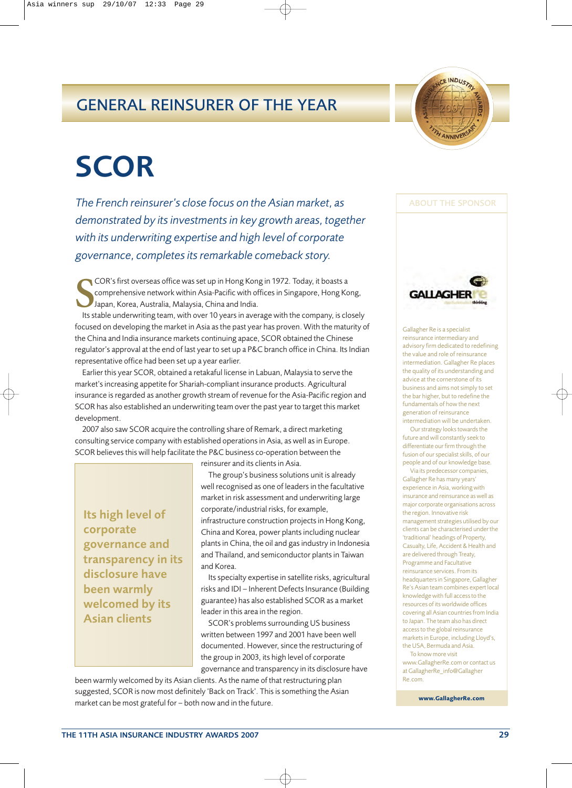## GENERAL REINSURER OF THE YEAR



## **SCOR**

*The French reinsurer's close focus on the Asian market, as demonstrated by its investments in key growth areas, together with its underwriting expertise and high level of corporate governance, completes its remarkable comeback story.*

**SEAU COR's first overseas office was set up in Hong Kong in 1972. Today, it boasts a<br>
Its stable underwriting team, with over 10 years in average with the company, is closely<br>
Japan, Korea, Australia, Malaysia, China and** COR's first overseas office was set up in Hong Kong in 1972. Today, it boasts a comprehensive network within Asia-Pacific with offices in Singapore, Hong Kong, Japan, Korea, Australia, Malaysia, China and India.

focused on developing the market in Asia as the past year has proven. With the maturity of the China and India insurance markets continuing apace, SCOR obtained the Chinese regulator's approval at the end of last year to set up a P&C branch office in China. Its Indian representative office had been set up a year earlier.

Earlier this year SCOR, obtained a retakaful license in Labuan, Malaysia to serve the market's increasing appetite for Shariah-compliant insurance products. Agricultural insurance is regarded as another growth stream of revenue for the Asia-Pacific region and SCOR has also established an underwriting team over the past year to target this market development.

2007 also saw SCOR acquire the controlling share of Remark, a direct marketing consulting service company with established operations in Asia, as well as in Europe. SCOR believes this will help facilitate the P&C business co-operation between the

Its high level of corporate governance and transparency in its disclosure have been warmly welcomed by its Asian clients

reinsurer and its clients in Asia.

The group's business solutions unit is already well recognised as one of leaders in the facultative market in risk assessment and underwriting large corporate/industrial risks, for example, infrastructure construction projects in Hong Kong, China and Korea, power plants including nuclear plants in China, the oil and gas industry in Indonesia and Thailand, and semiconductor plants in Taiwan and Korea.

Its specialty expertise in satellite risks, agricultural risks and IDI – Inherent Defects Insurance (Building guarantee) has also established SCOR as a market leader in this area in the region.

SCOR's problems surrounding US business written between 1997 and 2001 have been well documented. However, since the restructuring of the group in 2003, its high level of corporate governance and transparency in its disclosure have

been warmly welcomed by its Asian clients. As the name of that restructuring plan suggested, SCOR is now most definitely 'Back on Track'. This is something the Asian market can be most grateful for – both now and in the future.



Gallagher Re is a specialist reinsurance intermediary and advisory firm dedicated to redefining the value and role of reinsurance intermediation. Gallagher Re places the quality of its understanding and advice at the cornerstone of its business and aims not simply to set the bar higher, but to redefine the fundamentals of how the next generation of reinsurance intermediation will be undertaken.

Our strategy looks towards the future and will constantly seek to differentiate our firm through the fusion of our specialist skills, of our people and of our knowledge base. Via its predecessor companies,

Gallagher Re has many years' experience in Asia, working with insurance and reinsurance as well as major corporate organisations across the region. Innovative risk management strategies utilised by our clients can be characterised under the 'traditional' headings of Property, Casualty, Life, Accident & Health and are delivered through Treaty, Programme and Facultative reinsurance services. From its headquarters in Singapore, Gallagher Re's Asian team combines expert local knowledge with full access to the resources of its worldwide offices covering all Asian countries from India to Japan. The team also has direct access to the global reinsurance markets in Europe, including Lloyd's, the USA, Bermuda and Asia.

To know more visit www.GallagherRe.com or contact us at GallagherRe\_info@Gallagher Re.com.

**www.GallagherRe.com**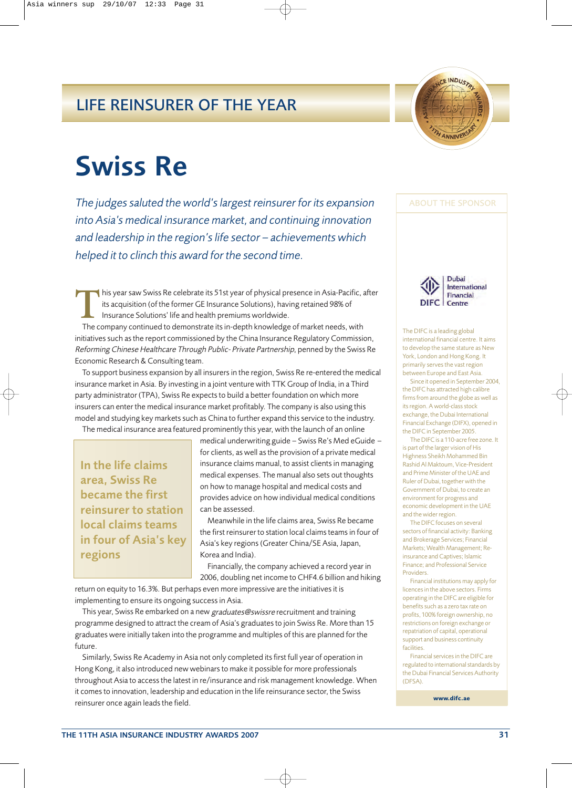## LIFE REINSURER OF THE YEAR



## Swiss Re

*The judges saluted the world's largest reinsurer for its expansion into Asia's medical insurance market, and continuing innovation and leadership in the region's life sector – achievements which helped it to clinch this award for the second time.*

This year saw Swiss Re celebrate its 51st year of physical presence in Asia-Pacific, after<br>its acquisition (of the former GE Insurance Solutions), having retained 98% of<br>Insurance Solutions' life and health premiums worldw its acquisition (of the former GE Insurance Solutions), having retained 98% of Insurance Solutions' life and health premiums worldwide.

The company continued to demonstrate its in-depth knowledge of market needs, with initiatives such as the report commissioned by the China Insurance Regulatory Commission, Reforming Chinese Healthcare Through Public- Private Partnership, penned by the Swiss Re Economic Research & Consulting team.

To support business expansion by all insurers in the region, Swiss Re re-entered the medical insurance market in Asia. By investing in a joint venture with TTK Group of India, in a Third party administrator (TPA), Swiss Re expects to build a better foundation on which more insurers can enter the medical insurance market profitably. The company is also using this model and studying key markets such as China to further expand this service to the industry.

The medical insurance area featured prominently this year, with the launch of an online

In the life claims area, Swiss Re became the first reinsurer to station local claims teams in four of Asia's key regions

medical underwriting guide – Swiss Re's Med eGuide – for clients, as well as the provision of a private medical insurance claims manual, to assist clients in managing medical expenses. The manual also sets out thoughts on how to manage hospital and medical costs and provides advice on how individual medical conditions can be assessed.

Meanwhile in the life claims area, Swiss Re became the first reinsurer to station local claims teams in four of Asia's key regions (Greater China/SE Asia, Japan, Korea and India).

Financially, the company achieved a record year in 2006, doubling net income to CHF4.6 billion and hiking

return on equity to 16.3%. But perhaps even more impressive are the initiatives it is implementing to ensure its ongoing success in Asia.

This year, Swiss Re embarked on a new graduates@swissre recruitment and training programme designed to attract the cream of Asia's graduates to join Swiss Re. More than 15 graduates were initially taken into the programme and multiples of this are planned for the future.

Similarly, Swiss Re Academy in Asia not only completed its first full year of operation in Hong Kong, it also introduced new webinars to make it possible for more professionals throughout Asia to access the latest in re/insurance and risk management knowledge. When it comes to innovation, leadership and education in the life reinsurance sector, the Swiss reinsurer once again leads the field.

ABOUT THE SPONSOR



The DIFC is a leading global international financial centre. It aims to develop the same stature as New York, London and Hong Kong. It primarily serves the vast region

between Europe and East Asia. Since it opened in September 2004, the DIFC has attracted high calibre firms from around the globe as well as its region. A world-class stock exchange, the Dubai International Financial Exchange (DIFX), opened in the DIFC in September 2005.

The DIFC is a 110-acre free zone. It is part of the larger vision of His Highness Sheikh Mohammed Bin Rashid Al Maktoum, Vice-President and Prime Minister of the UAE and Ruler of Dubai, together with the Government of Dubai, to create an environment for progress and economic development in the UAE and the wider region.

The DIFC focuses on several sectors of financial activity: Banking and Brokerage Services; Financial Markets; Wealth Management; Reinsurance and Captives; Islamic Finance; and Professional Service Providers.

Financial institutions may apply for licences in the above sectors. Firms operating in the DIFC are eligible for benefits such as a zero tax rate on profits, 100% foreign ownership, no restrictions on foreign exchange or repatriation of capital, operational support and business continuity facilities.

Financial services in the DIFC are regulated to international standards by the Dubai Financial Services Authority (DFSA).

**www.difc.ae**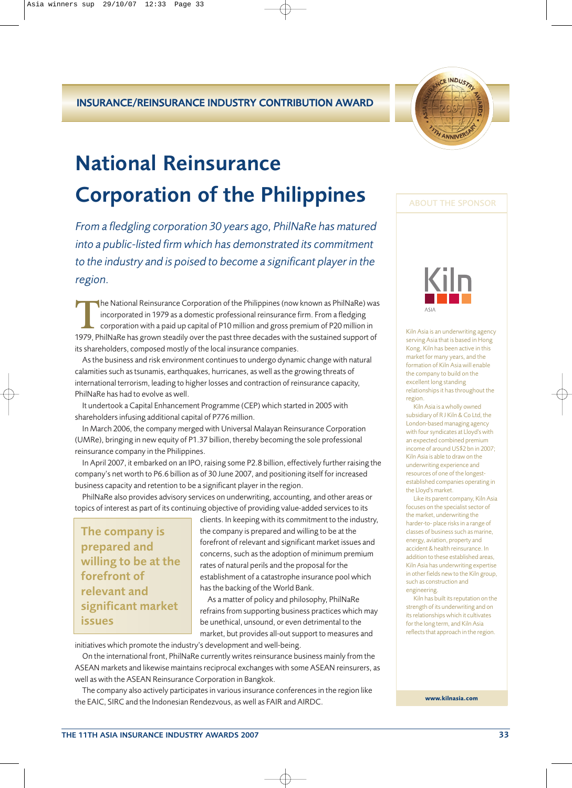

## National Reinsurance Corporation of the Philippines

*From a fledgling corporation 30 years ago, PhilNaRe has matured into a public-listed firm which has demonstrated its commitment to the industry and is poised to become a significant player in the region.* 

The National Reinsurance Corporation of the Philippines (now known as PhilNaRe) was<br>incorporated in 1979 as a domestic professional reinsurance firm. From a fledging<br>corporation with a paid up capital of P10 million and gr incorporated in 1979 as a domestic professional reinsurance firm. From a fledging corporation with a paid up capital of P10 million and gross premium of P20 million in 1979, PhilNaRe has grown steadily over the past three decades with the sustained support of its shareholders, composed mostly of the local insurance companies.

As the business and risk environment continues to undergo dynamic change with natural calamities such as tsunamis, earthquakes, hurricanes, as well as the growing threats of international terrorism, leading to higher losses and contraction of reinsurance capacity, PhilNaRe has had to evolve as well.

It undertook a Capital Enhancement Programme (CEP) which started in 2005 with shareholders infusing additional capital of P776 million.

In March 2006, the company merged with Universal Malayan Reinsurance Corporation (UMRe), bringing in new equity of P1.37 billion, thereby becoming the sole professional reinsurance company in the Philippines.

In April 2007, it embarked on an IPO, raising some P2.8 billion, effectively further raising the company's net worth to P6.6 billion as of 30 June 2007, and positioning itself for increased business capacity and retention to be a significant player in the region.

PhilNaRe also provides advisory services on underwriting, accounting, and other areas or topics of interest as part of its continuing objective of providing value-added services to its

The company is prepared and willing to be at the forefront of relevant and significant market issues

clients. In keeping with its commitment to the industry, the company is prepared and willing to be at the forefront of relevant and significant market issues and concerns, such as the adoption of minimum premium rates of natural perils and the proposal for the establishment of a catastrophe insurance pool which has the backing of the World Bank.

As a matter of policy and philosophy, PhilNaRe refrains from supporting business practices which may be unethical, unsound, or even detrimental to the market, but provides all-out support to measures and

initiatives which promote the industry's development and well-being.

On the international front, PhilNaRe currently writes reinsurance business mainly from the ASEAN markets and likewise maintains reciprocal exchanges with some ASEAN reinsurers, as well as with the ASEAN Reinsurance Corporation in Bangkok.

The company also actively participates in various insurance conferences in the region like the EAIC, SIRC and the Indonesian Rendezvous, as well as FAIR and AIRDC.

### ABOUT THE SPONSOR



Kiln Asia is an underwriting agency serving Asia that is based in Hong Kong. Kiln has been active in this market for many years, and the formation of Kiln Asia will enable the company to build on the excellent long standing relationships it has throughout the region.

Kiln Asia is a wholly owned subsidiary of R J Kiln & Co Ltd, the London-based managing agency with four syndicates at Lloyd's with an expected combined premium income of around US\$2 bn in 2007; Kiln Asia is able to draw on the underwriting experience and resources of one of the longestestablished companies operating in the Lloyd's market.

Like its parent company, Kiln Asia focuses on the specialist sector of the market, underwriting the harder-to- place risks in a range of classes of business such as marine, energy, aviation, property and accident & health reinsurance. In addition to these established areas, Kiln Asia has underwriting expertise in other fields new to the Kiln group, such as construction and engineering.

Kiln has built its reputation on the strength of its underwriting and on its relationships which it cultivates for the long term, and Kiln Asia reflects that approach in the region.

**www.kilnasia.com**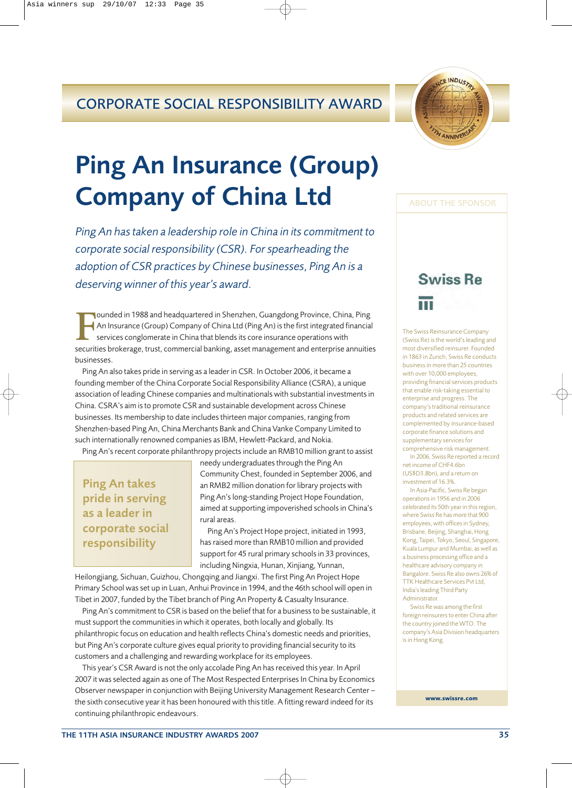## CORPORATE SOCIAL RESPONSIBILITY AWARD



## Ping An Insurance (Group) Company of China Ltd

*Ping An has taken a leadership role in China in its commitment to corporate social responsibility (CSR). For spearheading the adoption of CSR practices by Chinese businesses, Ping An is a deserving winner of this year's award.*

**F** an Insurance (Group) Company of China Ltd (Ping An) is the first integrated financial services conglomerate in China that blends its core insurance operations with securities brokerage, trust, commercial banking, asset ounded in 1988 and headquartered in Shenzhen, Guangdong Province, China, Ping An Insurance (Group) Company of China Ltd (Ping An) is the first integrated financial services conglomerate in China that blends its core insurance operations with businesses.

Ping An also takes pride in serving as a leader in CSR. In October 2006, it became a founding member of the China Corporate Social Responsibility Alliance (CSRA), a unique association of leading Chinese companies and multinationals with substantial investments in China. CSRA's aim is to promote CSR and sustainable development across Chinese businesses. Its membership to date includes thirteen major companies, ranging from Shenzhen-based Ping An, China Merchants Bank and China Vanke Company Limited to such internationally renowned companies as IBM, Hewlett-Packard, and Nokia.

Ping An's recent corporate philanthropy projects include an RMB10 million grant to assist

Ping An takes pride in serving as a leader in corporate social responsibility

needy undergraduates through the Ping An Community Chest, founded in September 2006, and an RMB2 million donation for library projects with Ping An's long-standing Project Hope Foundation, aimed at supporting impoverished schools in China's rural areas.

Ping An's Project Hope project, initiated in 1993, has raised more than RMB10 million and provided support for 45 rural primary schools in 33 provinces, including Ningxia, Hunan, Xinjiang, Yunnan,

Heilongjiang, Sichuan, Guizhou, Chongqing and Jiangxi. The first Ping An Project Hope Primary School was set up in Luan, Anhui Province in 1994, and the 46th school will open in Tibet in 2007, funded by the Tibet branch of Ping An Property & Casualty Insurance.

Ping An's commitment to CSR is based on the belief that for a business to be sustainable, it must support the communities in which it operates, both locally and globally. Its philanthropic focus on education and health reflects China's domestic needs and priorities, but Ping An's corporate culture gives equal priority to providing financial security to its customers and a challenging and rewarding workplace for its employees.

This year's CSR Award is not the only accolade Ping An has received this year. In April 2007 it was selected again as one of The Most Respected Enterprises In China by Economics Observer newspaper in conjunction with Beijing University Management Research Center – the sixth consecutive year it has been honoured with this title. A fitting reward indeed for its continuing philanthropic endeavours.

# **Swiss Re**

ABOUT THE SPONSOR

The Swiss Reinsurance Company (Swiss Re) is the world's leading and most diversified reinsurer. Founded in 1863 in Zurich, Swiss Re conducts business in more than 25 countries with over 10,000 employees, providing financial services products that enable risk-taking essential to enterprise and progress. The company's traditional reinsurance products and related services are complemented by insurance-based corporate finance solutions and supplementary services for comprehensive risk management.

In 2006, Swiss Re reported a record net income of CHF4.6bn (US\$D3.8bn), and a return on investment of 16.3%.

In Asia-Pacific, Swiss Re began operations in 1956 and in 2006 celebrated its 50th year in this region, where Swiss Re has more that 900 employees, with offices in Sydney, Brisbane, Beijing, Shanghai, Hong Kong, Taipei, Tokyo, Seoul, Singapore, Kuala Lumpur and Mumbai, as well as a business processing office and a healthcare advisory company in Bangalore. Swiss Re also owns 26% of TTK Healthcare Services Pvt Ltd, India's leading Third Party Administrator.

Swiss Re was among the first foreign reinsurers to enter China after the country joined the WTO. The company's Asia Division headquarters is in Hong Kong.

**www.swissre.com**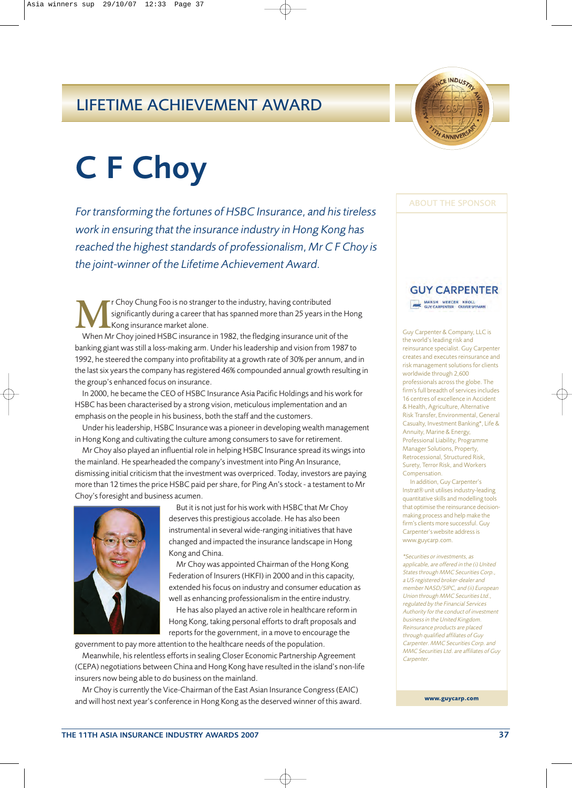## LIFETIME ACHIEVEMENT AWARD



## C F Choy

*For transforming the fortunes of HSBC Insurance, and his tireless work in ensuring that the insurance industry in Hong Kong has reached the highest standards of professionalism, Mr C F Choy is the joint-winner of the Lifetime Achievement Award.*

**MERGE THE CHOY CHUNG FOO is no stranger to the industry, having contributed<br>
Kong insurance market alone.<br>
When Mr Choy ioined HSBC insurance in 1982, the fledging insurance unit** significantly during a career that has spanned more than 25 years in the Hong Kong insurance market alone.

When Mr Choy joined HSBC insurance in 1982, the fledging insurance unit of the banking giant was still a loss-making arm. Under his leadership and vision from 1987 to 1992, he steered the company into profitability at a growth rate of 30% per annum, and in the last six years the company has registered 46% compounded annual growth resulting in the group's enhanced focus on insurance.

In 2000, he became the CEO of HSBC Insurance Asia Pacific Holdings and his work for HSBC has been characterised by a strong vision, meticulous implementation and an emphasis on the people in his business, both the staff and the customers.

Under his leadership, HSBC Insurance was a pioneer in developing wealth management in Hong Kong and cultivating the culture among consumers to save for retirement.

Mr Choy also played an influential role in helping HSBC Insurance spread its wings into the mainland. He spearheaded the company's investment into Ping An Insurance, dismissing initial criticism that the investment was overpriced. Today, investors are paying more than 12 times the price HSBC paid per share, for Ping An's stock - a testament to Mr Choy's foresight and business acumen.



But it is not just for his work with HSBC that Mr Choy deserves this prestigious accolade. He has also been instrumental in several wide-ranging initiatives that have changed and impacted the insurance landscape in Hong Kong and China.

Mr Choy was appointed Chairman of the Hong Kong Federation of Insurers (HKFI) in 2000 and in this capacity, extended his focus on industry and consumer education as well as enhancing professionalism in the entire industry.

He has also played an active role in healthcare reform in Hong Kong, taking personal efforts to draft proposals and reports for the government, in a move to encourage the

government to pay more attention to the healthcare needs of the population.

Meanwhile, his relentless efforts in sealing Closer Economic Partnership Agreement (CEPA) negotiations between China and Hong Kong have resulted in the island's non-life insurers now being able to do business on the mainland.

Mr Choy is currently the Vice-Chairman of the East Asian Insurance Congress (EAIC) and will host next year's conference in Hong Kong as the deserved winner of this award.

### ABOUT THE SPONSOR

## **GUY CARPENTER**

MARSH MERCER KROLL

Guy Carpenter & Company, LLC is the world's leading risk and reinsurance specialist. Guy Carpenter creates and executes reinsurance and risk management solutions for clients worldwide through 2,600 professionals across the globe. The firm's full breadth of services includes 16 centres of excellence in Accident & Health, Agriculture, Alternative Risk Transfer, Environmental, General Casualty, Investment Banking\*, Life & Annuity, Marine & Energy, Professional Liability, Programme Manager Solutions, Property, Retrocessional, Structured Risk, Surety, Terror Risk, and Workers Compensation

In addition, Guy Carpenter's Instrat® unit utilises industry-leading quantitative skills and modelling tools that optimise the reinsurance decisionmaking process and help make the firm's clients more successful. Guy Carpenter's website address is www.guycarp.com.

\*Securities or investments, as applicable, are offered in the (i) United States through MMC Securities Corp., a US registered broker-dealer and member NASD/SIPC, and (ii) European Union through MMC Securities Ltd., regulated by the Financial Services Authority for the conduct of investment business in the United Kingdom. Reinsurance products are placed through qualified affiliates of Guy Carpenter. MMC Securities Corp. and MMC Securities Ltd. are affiliates of Guy **Carpenter.** 

**www.guycarp.com**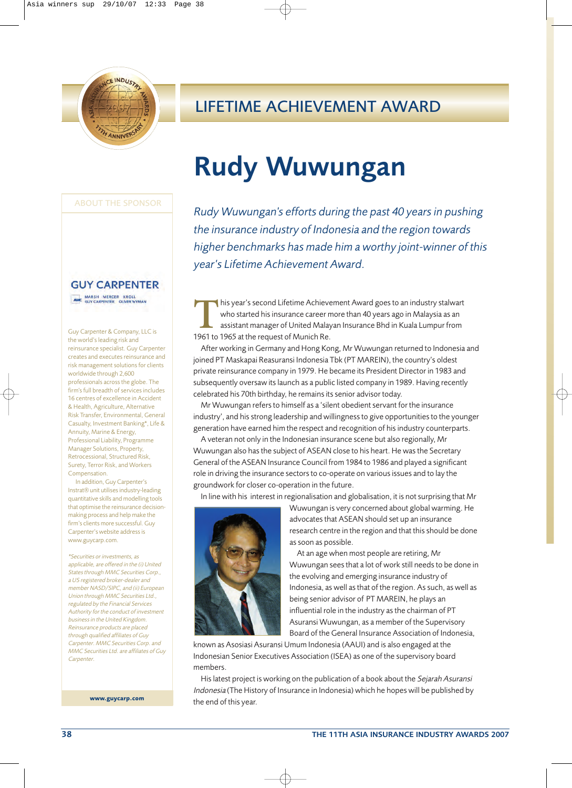

## LIFETIME ACHIEVEMENT AWARD

## Rudy Wuwungan

ABOUT THE SPONSOR

### **GUY CARPENTER**

MARSH MERCER KROLL

Guy Carpenter & Company, LLC is the world's leading risk and reinsurance specialist. Guy Carpenter creates and executes reinsurance and risk management solutions for clients worldwide through 2,600 professionals across the globe. The firm's full breadth of services includes 16 centres of excellence in Accident & Health, Agriculture, Alternative Risk Transfer, Environmental, General Casualty, Investment Banking\*, Life & Annuity, Marine & Energy, Professional Liability, Programme Manager Solutions, Property, Retrocessional, Structured Risk, Surety, Terror Risk, and Workers Compensation

In addition, Guy Carpenter's Instrat® unit utilises industry-leading quantitative skills and modelling tools that optimise the reinsurance decisionmaking process and help make the firm's clients more successful. Guy Carpenter's website address is www.guycarp.com.

\*Securities or investments, as applicable, are offered in the (i) United States through MMC Securities Corp., a US registered broker-dealer and member NASD/SIPC, and (ii) European Union through MMC Securities Ltd., regulated by the Financial Services Authority for the conduct of investment business in the United Kingdom. Reinsurance products are placed through qualified affiliates of Guy Carpenter. MMC Securities Corp. and MMC Securities Ltd. are affiliates of Guy **Carpenter.** 

**www.guycarp.com**

## *Rudy Wuwungan's efforts during the past 40 years in pushing the insurance industry of Indonesia and the region towards higher benchmarks has made him a worthy joint-winner of this year's Lifetime Achievement Award.*

This year's second Lifetime Achievement Award goes to an industry stalwart<br>who started his insurance career more than 40 years ago in Malaysia as an<br>assistant manager of United Malayan Insurance Bhd in Kuala Lumpur from<br>19 who started his insurance career more than 40 years ago in Malaysia as an assistant manager of United Malayan Insurance Bhd in Kuala Lumpur from 1961 to 1965 at the request of Munich Re.

After working in Germany and Hong Kong, Mr Wuwungan returned to Indonesia and joined PT Maskapai Reasuransi Indonesia Tbk (PT MAREIN), the country's oldest private reinsurance company in 1979. He became its President Director in 1983 and subsequently oversaw its launch as a public listed company in 1989. Having recently celebrated his 70th birthday, he remains its senior advisor today.

Mr Wuwungan refers to himself as a 'silent obedient servant for the insurance industry', and his strong leadership and willingness to give opportunities to the younger generation have earned him the respect and recognition of his industry counterparts.

A veteran not only in the Indonesian insurance scene but also regionally, Mr Wuwungan also has the subject of ASEAN close to his heart. He was the Secretary General of the ASEAN Insurance Council from 1984 to 1986 and played a significant role in driving the insurance sectors to co-operate on various issues and to lay the groundwork for closer co-operation in the future.

In line with his interest in regionalisation and globalisation, it is not surprising that Mr



Wuwungan is very concerned about global warming. He advocates that ASEAN should set up an insurance research centre in the region and that this should be done as soon as possible.

At an age when most people are retiring, Mr Wuwungan sees that a lot of work still needs to be done in the evolving and emerging insurance industry of Indonesia, as well as that of the region. As such, as well as being senior advisor of PT MAREIN, he plays an influential role in the industry as the chairman of PT Asuransi Wuwungan, as a member of the Supervisory Board of the General Insurance Association of Indonesia,

known as Asosiasi Asuransi Umum Indonesia (AAUI) and is also engaged at the Indonesian Senior Executives Association (ISEA) as one of the supervisory board members.

His latest project is working on the publication of a book about the Sejarah Asuransi Indonesia (The History of Insurance in Indonesia) which he hopes will be published by the end of this year.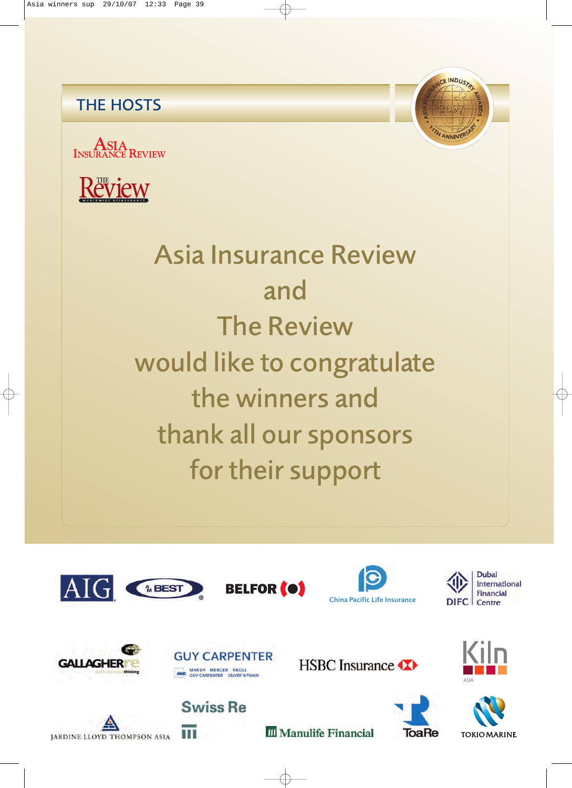## THE HOSTS





## Asia Insurance Review and The Review would like to congratulate the winners and thank all our sponsors for their support









CE INDUSTRY



**JARDINE LLOYD THOMPSON ASIA** 



**Swiss Re** 

**HSBC** Insurance





ToaRe

**III** Manulife Financial